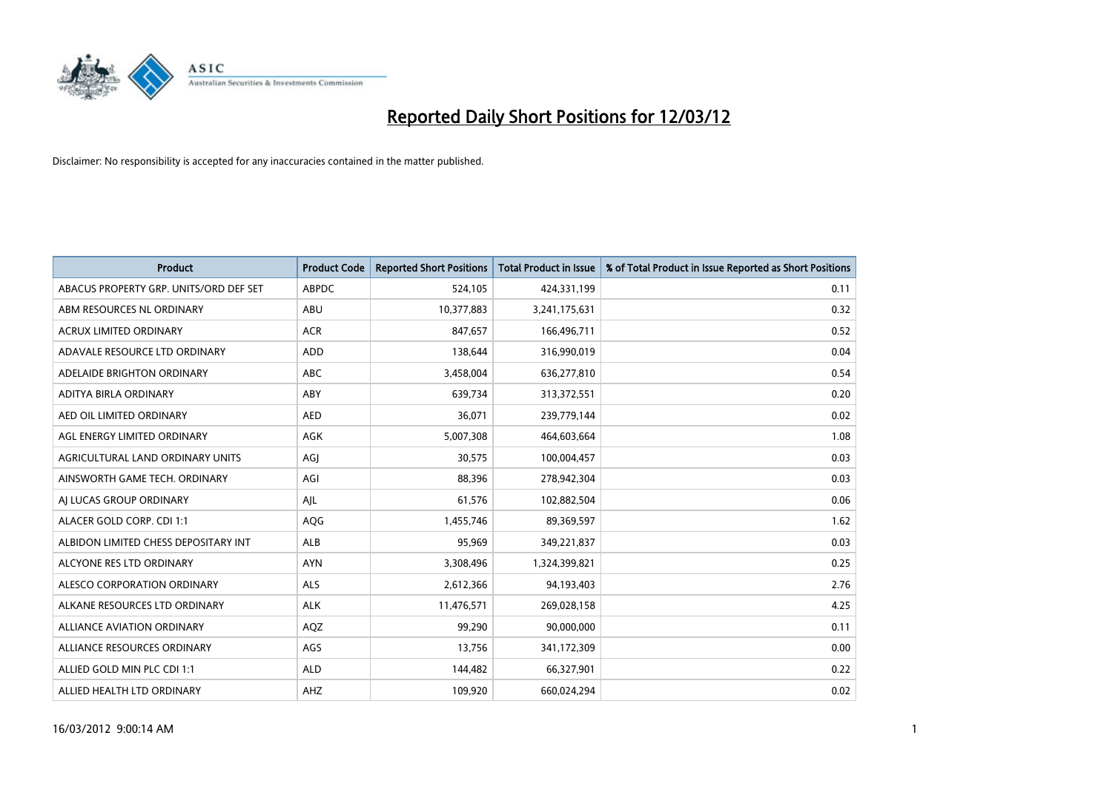

| <b>Product</b>                         | <b>Product Code</b> | <b>Reported Short Positions</b> | <b>Total Product in Issue</b> | % of Total Product in Issue Reported as Short Positions |
|----------------------------------------|---------------------|---------------------------------|-------------------------------|---------------------------------------------------------|
| ABACUS PROPERTY GRP. UNITS/ORD DEF SET | <b>ABPDC</b>        | 524,105                         | 424,331,199                   | 0.11                                                    |
| ABM RESOURCES NL ORDINARY              | ABU                 | 10,377,883                      | 3,241,175,631                 | 0.32                                                    |
| <b>ACRUX LIMITED ORDINARY</b>          | <b>ACR</b>          | 847,657                         | 166,496,711                   | 0.52                                                    |
| ADAVALE RESOURCE LTD ORDINARY          | <b>ADD</b>          | 138,644                         | 316,990,019                   | 0.04                                                    |
| ADELAIDE BRIGHTON ORDINARY             | ABC                 | 3,458,004                       | 636,277,810                   | 0.54                                                    |
| ADITYA BIRLA ORDINARY                  | ABY                 | 639,734                         | 313,372,551                   | 0.20                                                    |
| AED OIL LIMITED ORDINARY               | <b>AED</b>          | 36,071                          | 239,779,144                   | 0.02                                                    |
| AGL ENERGY LIMITED ORDINARY            | AGK                 | 5,007,308                       | 464,603,664                   | 1.08                                                    |
| AGRICULTURAL LAND ORDINARY UNITS       | AGI                 | 30,575                          | 100,004,457                   | 0.03                                                    |
| AINSWORTH GAME TECH. ORDINARY          | AGI                 | 88,396                          | 278,942,304                   | 0.03                                                    |
| AI LUCAS GROUP ORDINARY                | AJL                 | 61,576                          | 102,882,504                   | 0.06                                                    |
| ALACER GOLD CORP. CDI 1:1              | AQG                 | 1,455,746                       | 89,369,597                    | 1.62                                                    |
| ALBIDON LIMITED CHESS DEPOSITARY INT   | ALB                 | 95,969                          | 349,221,837                   | 0.03                                                    |
| ALCYONE RES LTD ORDINARY               | <b>AYN</b>          | 3,308,496                       | 1,324,399,821                 | 0.25                                                    |
| ALESCO CORPORATION ORDINARY            | ALS                 | 2,612,366                       | 94,193,403                    | 2.76                                                    |
| ALKANE RESOURCES LTD ORDINARY          | <b>ALK</b>          | 11,476,571                      | 269,028,158                   | 4.25                                                    |
| <b>ALLIANCE AVIATION ORDINARY</b>      | AQZ                 | 99,290                          | 90,000,000                    | 0.11                                                    |
| ALLIANCE RESOURCES ORDINARY            | AGS                 | 13,756                          | 341,172,309                   | 0.00                                                    |
| ALLIED GOLD MIN PLC CDI 1:1            | <b>ALD</b>          | 144,482                         | 66,327,901                    | 0.22                                                    |
| ALLIED HEALTH LTD ORDINARY             | AHZ                 | 109,920                         | 660,024,294                   | 0.02                                                    |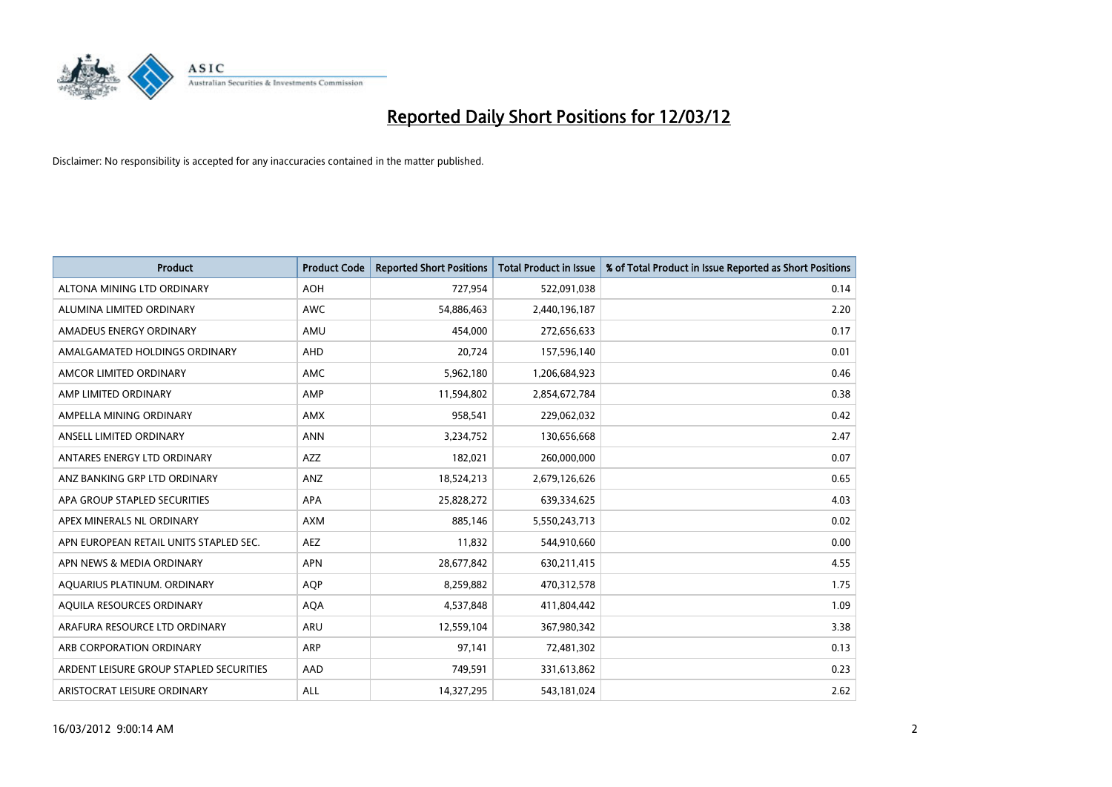

| <b>Product</b>                          | <b>Product Code</b> | <b>Reported Short Positions</b> | <b>Total Product in Issue</b> | % of Total Product in Issue Reported as Short Positions |
|-----------------------------------------|---------------------|---------------------------------|-------------------------------|---------------------------------------------------------|
| ALTONA MINING LTD ORDINARY              | <b>AOH</b>          | 727,954                         | 522,091,038                   | 0.14                                                    |
| ALUMINA LIMITED ORDINARY                | <b>AWC</b>          | 54,886,463                      | 2,440,196,187                 | 2.20                                                    |
| AMADEUS ENERGY ORDINARY                 | AMU                 | 454,000                         | 272,656,633                   | 0.17                                                    |
| AMALGAMATED HOLDINGS ORDINARY           | AHD                 | 20,724                          | 157,596,140                   | 0.01                                                    |
| AMCOR LIMITED ORDINARY                  | AMC                 | 5,962,180                       | 1,206,684,923                 | 0.46                                                    |
| AMP LIMITED ORDINARY                    | AMP                 | 11,594,802                      | 2,854,672,784                 | 0.38                                                    |
| AMPELLA MINING ORDINARY                 | <b>AMX</b>          | 958,541                         | 229,062,032                   | 0.42                                                    |
| ANSELL LIMITED ORDINARY                 | <b>ANN</b>          | 3,234,752                       | 130,656,668                   | 2.47                                                    |
| ANTARES ENERGY LTD ORDINARY             | AZZ                 | 182,021                         | 260,000,000                   | 0.07                                                    |
| ANZ BANKING GRP LTD ORDINARY            | ANZ                 | 18,524,213                      | 2,679,126,626                 | 0.65                                                    |
| APA GROUP STAPLED SECURITIES            | APA                 | 25,828,272                      | 639,334,625                   | 4.03                                                    |
| APEX MINERALS NL ORDINARY               | <b>AXM</b>          | 885,146                         | 5,550,243,713                 | 0.02                                                    |
| APN EUROPEAN RETAIL UNITS STAPLED SEC.  | <b>AEZ</b>          | 11,832                          | 544,910,660                   | 0.00                                                    |
| APN NEWS & MEDIA ORDINARY               | <b>APN</b>          | 28,677,842                      | 630,211,415                   | 4.55                                                    |
| AQUARIUS PLATINUM. ORDINARY             | <b>AOP</b>          | 8,259,882                       | 470,312,578                   | 1.75                                                    |
| AQUILA RESOURCES ORDINARY               | <b>AQA</b>          | 4,537,848                       | 411,804,442                   | 1.09                                                    |
| ARAFURA RESOURCE LTD ORDINARY           | ARU                 | 12,559,104                      | 367,980,342                   | 3.38                                                    |
| ARB CORPORATION ORDINARY                | ARP                 | 97,141                          | 72,481,302                    | 0.13                                                    |
| ARDENT LEISURE GROUP STAPLED SECURITIES | AAD                 | 749,591                         | 331,613,862                   | 0.23                                                    |
| ARISTOCRAT LEISURE ORDINARY             | ALL                 | 14,327,295                      | 543,181,024                   | 2.62                                                    |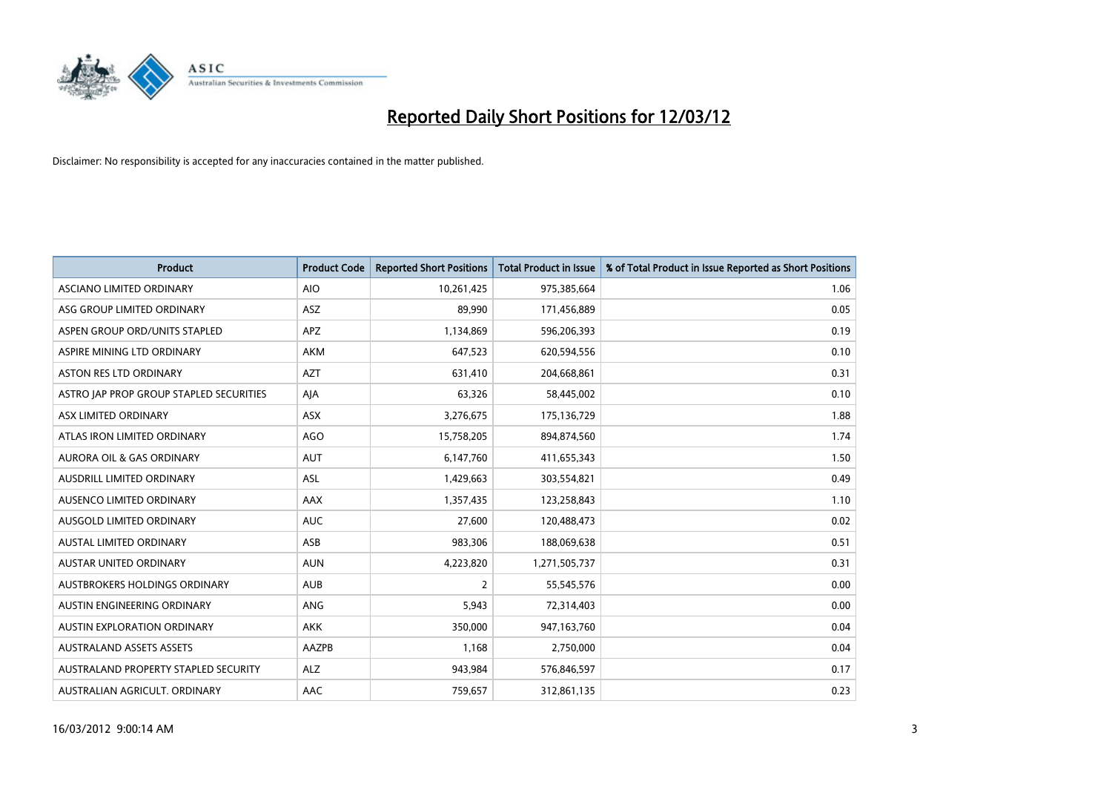

| <b>Product</b>                          | <b>Product Code</b> | <b>Reported Short Positions</b> | <b>Total Product in Issue</b> | % of Total Product in Issue Reported as Short Positions |
|-----------------------------------------|---------------------|---------------------------------|-------------------------------|---------------------------------------------------------|
| ASCIANO LIMITED ORDINARY                | <b>AIO</b>          | 10,261,425                      | 975,385,664                   | 1.06                                                    |
| ASG GROUP LIMITED ORDINARY              | ASZ                 | 89,990                          | 171,456,889                   | 0.05                                                    |
| ASPEN GROUP ORD/UNITS STAPLED           | APZ                 | 1,134,869                       | 596,206,393                   | 0.19                                                    |
| ASPIRE MINING LTD ORDINARY              | <b>AKM</b>          | 647,523                         | 620,594,556                   | 0.10                                                    |
| <b>ASTON RES LTD ORDINARY</b>           | <b>AZT</b>          | 631,410                         | 204,668,861                   | 0.31                                                    |
| ASTRO JAP PROP GROUP STAPLED SECURITIES | AJA                 | 63,326                          | 58,445,002                    | 0.10                                                    |
| ASX LIMITED ORDINARY                    | ASX                 | 3,276,675                       | 175,136,729                   | 1.88                                                    |
| ATLAS IRON LIMITED ORDINARY             | <b>AGO</b>          | 15,758,205                      | 894,874,560                   | 1.74                                                    |
| <b>AURORA OIL &amp; GAS ORDINARY</b>    | <b>AUT</b>          | 6,147,760                       | 411,655,343                   | 1.50                                                    |
| AUSDRILL LIMITED ORDINARY               | <b>ASL</b>          | 1,429,663                       | 303,554,821                   | 0.49                                                    |
| AUSENCO LIMITED ORDINARY                | AAX                 | 1,357,435                       | 123,258,843                   | 1.10                                                    |
| AUSGOLD LIMITED ORDINARY                | <b>AUC</b>          | 27,600                          | 120,488,473                   | 0.02                                                    |
| <b>AUSTAL LIMITED ORDINARY</b>          | ASB                 | 983,306                         | 188,069,638                   | 0.51                                                    |
| <b>AUSTAR UNITED ORDINARY</b>           | <b>AUN</b>          | 4,223,820                       | 1,271,505,737                 | 0.31                                                    |
| AUSTBROKERS HOLDINGS ORDINARY           | <b>AUB</b>          | $\overline{2}$                  | 55,545,576                    | 0.00                                                    |
| AUSTIN ENGINEERING ORDINARY             | ANG                 | 5,943                           | 72,314,403                    | 0.00                                                    |
| AUSTIN EXPLORATION ORDINARY             | <b>AKK</b>          | 350,000                         | 947,163,760                   | 0.04                                                    |
| <b>AUSTRALAND ASSETS ASSETS</b>         | AAZPB               | 1,168                           | 2,750,000                     | 0.04                                                    |
| AUSTRALAND PROPERTY STAPLED SECURITY    | <b>ALZ</b>          | 943,984                         | 576,846,597                   | 0.17                                                    |
| AUSTRALIAN AGRICULT. ORDINARY           | AAC                 | 759,657                         | 312,861,135                   | 0.23                                                    |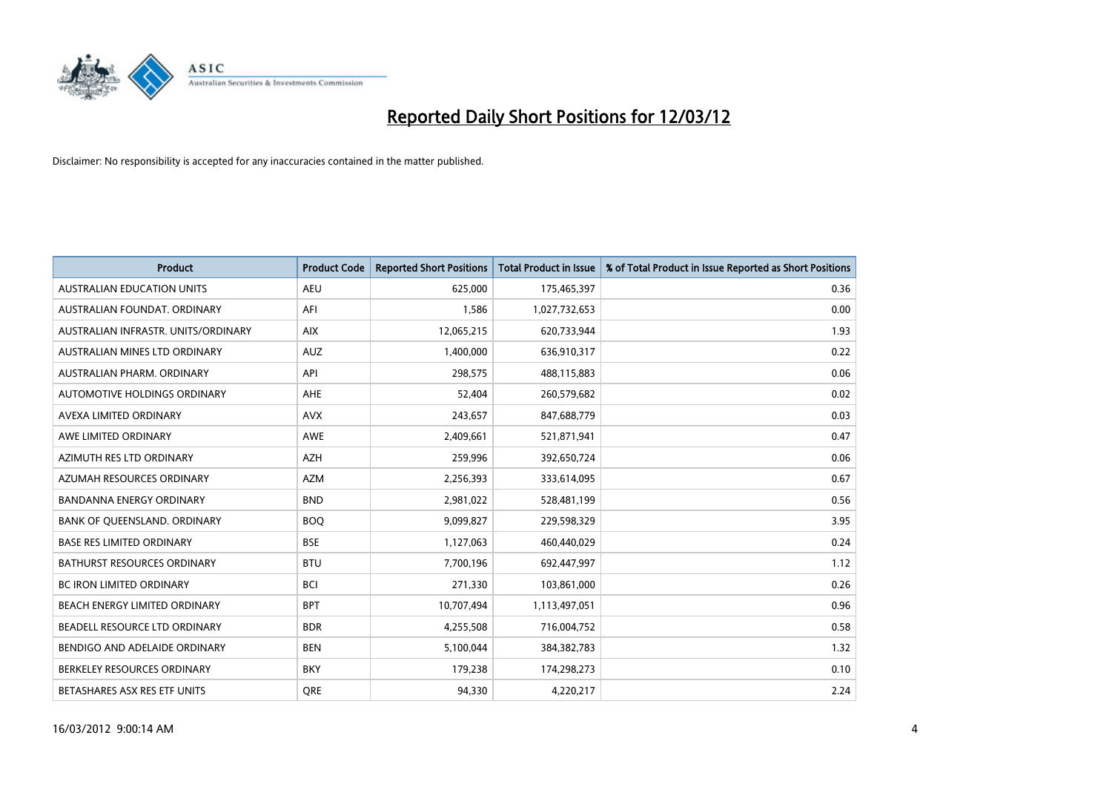

| <b>Product</b>                      | <b>Product Code</b> | <b>Reported Short Positions</b> | <b>Total Product in Issue</b> | % of Total Product in Issue Reported as Short Positions |
|-------------------------------------|---------------------|---------------------------------|-------------------------------|---------------------------------------------------------|
| <b>AUSTRALIAN EDUCATION UNITS</b>   | <b>AEU</b>          | 625,000                         | 175,465,397                   | 0.36                                                    |
| AUSTRALIAN FOUNDAT. ORDINARY        | AFI                 | 1,586                           | 1,027,732,653                 | 0.00                                                    |
| AUSTRALIAN INFRASTR, UNITS/ORDINARY | <b>AIX</b>          | 12,065,215                      | 620,733,944                   | 1.93                                                    |
| AUSTRALIAN MINES LTD ORDINARY       | <b>AUZ</b>          | 1,400,000                       | 636,910,317                   | 0.22                                                    |
| AUSTRALIAN PHARM, ORDINARY          | API                 | 298,575                         | 488,115,883                   | 0.06                                                    |
| AUTOMOTIVE HOLDINGS ORDINARY        | <b>AHE</b>          | 52,404                          | 260,579,682                   | 0.02                                                    |
| AVEXA LIMITED ORDINARY              | <b>AVX</b>          | 243,657                         | 847,688,779                   | 0.03                                                    |
| AWE LIMITED ORDINARY                | AWE                 | 2,409,661                       | 521,871,941                   | 0.47                                                    |
| AZIMUTH RES LTD ORDINARY            | <b>AZH</b>          | 259,996                         | 392,650,724                   | 0.06                                                    |
| AZUMAH RESOURCES ORDINARY           | <b>AZM</b>          | 2,256,393                       | 333,614,095                   | 0.67                                                    |
| BANDANNA ENERGY ORDINARY            | <b>BND</b>          | 2,981,022                       | 528,481,199                   | 0.56                                                    |
| BANK OF QUEENSLAND. ORDINARY        | <b>BOO</b>          | 9,099,827                       | 229,598,329                   | 3.95                                                    |
| <b>BASE RES LIMITED ORDINARY</b>    | <b>BSE</b>          | 1,127,063                       | 460,440,029                   | 0.24                                                    |
| <b>BATHURST RESOURCES ORDINARY</b>  | <b>BTU</b>          | 7,700,196                       | 692,447,997                   | 1.12                                                    |
| <b>BC IRON LIMITED ORDINARY</b>     | <b>BCI</b>          | 271,330                         | 103,861,000                   | 0.26                                                    |
| BEACH ENERGY LIMITED ORDINARY       | <b>BPT</b>          | 10,707,494                      | 1,113,497,051                 | 0.96                                                    |
| BEADELL RESOURCE LTD ORDINARY       | <b>BDR</b>          | 4,255,508                       | 716,004,752                   | 0.58                                                    |
| BENDIGO AND ADELAIDE ORDINARY       | <b>BEN</b>          | 5,100,044                       | 384, 382, 783                 | 1.32                                                    |
| BERKELEY RESOURCES ORDINARY         | <b>BKY</b>          | 179,238                         | 174,298,273                   | 0.10                                                    |
| BETASHARES ASX RES ETF UNITS        | <b>ORE</b>          | 94,330                          | 4,220,217                     | 2.24                                                    |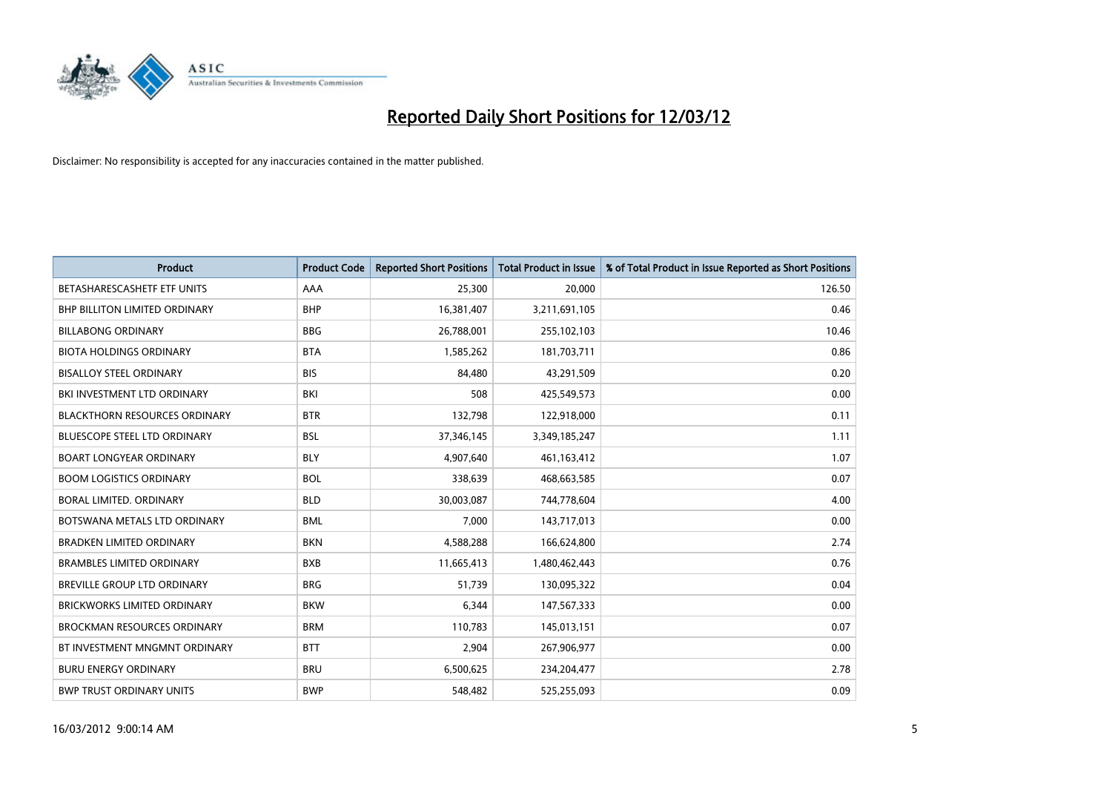

| <b>Product</b>                       | <b>Product Code</b> | <b>Reported Short Positions</b> | <b>Total Product in Issue</b> | % of Total Product in Issue Reported as Short Positions |
|--------------------------------------|---------------------|---------------------------------|-------------------------------|---------------------------------------------------------|
| BETASHARESCASHETF ETF UNITS          | AAA                 | 25,300                          | 20,000                        | 126.50                                                  |
| <b>BHP BILLITON LIMITED ORDINARY</b> | <b>BHP</b>          | 16,381,407                      | 3,211,691,105                 | 0.46                                                    |
| <b>BILLABONG ORDINARY</b>            | <b>BBG</b>          | 26,788,001                      | 255,102,103                   | 10.46                                                   |
| <b>BIOTA HOLDINGS ORDINARY</b>       | <b>BTA</b>          | 1,585,262                       | 181,703,711                   | 0.86                                                    |
| <b>BISALLOY STEEL ORDINARY</b>       | <b>BIS</b>          | 84,480                          | 43,291,509                    | 0.20                                                    |
| BKI INVESTMENT LTD ORDINARY          | BKI                 | 508                             | 425,549,573                   | 0.00                                                    |
| <b>BLACKTHORN RESOURCES ORDINARY</b> | <b>BTR</b>          | 132,798                         | 122,918,000                   | 0.11                                                    |
| BLUESCOPE STEEL LTD ORDINARY         | <b>BSL</b>          | 37,346,145                      | 3,349,185,247                 | 1.11                                                    |
| <b>BOART LONGYEAR ORDINARY</b>       | <b>BLY</b>          | 4,907,640                       | 461,163,412                   | 1.07                                                    |
| <b>BOOM LOGISTICS ORDINARY</b>       | <b>BOL</b>          | 338,639                         | 468,663,585                   | 0.07                                                    |
| BORAL LIMITED. ORDINARY              | <b>BLD</b>          | 30,003,087                      | 744,778,604                   | 4.00                                                    |
| BOTSWANA METALS LTD ORDINARY         | <b>BML</b>          | 7,000                           | 143,717,013                   | 0.00                                                    |
| <b>BRADKEN LIMITED ORDINARY</b>      | <b>BKN</b>          | 4,588,288                       | 166,624,800                   | 2.74                                                    |
| <b>BRAMBLES LIMITED ORDINARY</b>     | <b>BXB</b>          | 11,665,413                      | 1,480,462,443                 | 0.76                                                    |
| <b>BREVILLE GROUP LTD ORDINARY</b>   | <b>BRG</b>          | 51,739                          | 130,095,322                   | 0.04                                                    |
| BRICKWORKS LIMITED ORDINARY          | <b>BKW</b>          | 6,344                           | 147,567,333                   | 0.00                                                    |
| <b>BROCKMAN RESOURCES ORDINARY</b>   | <b>BRM</b>          | 110,783                         | 145,013,151                   | 0.07                                                    |
| BT INVESTMENT MNGMNT ORDINARY        | <b>BTT</b>          | 2,904                           | 267,906,977                   | 0.00                                                    |
| <b>BURU ENERGY ORDINARY</b>          | <b>BRU</b>          | 6,500,625                       | 234,204,477                   | 2.78                                                    |
| <b>BWP TRUST ORDINARY UNITS</b>      | <b>BWP</b>          | 548,482                         | 525,255,093                   | 0.09                                                    |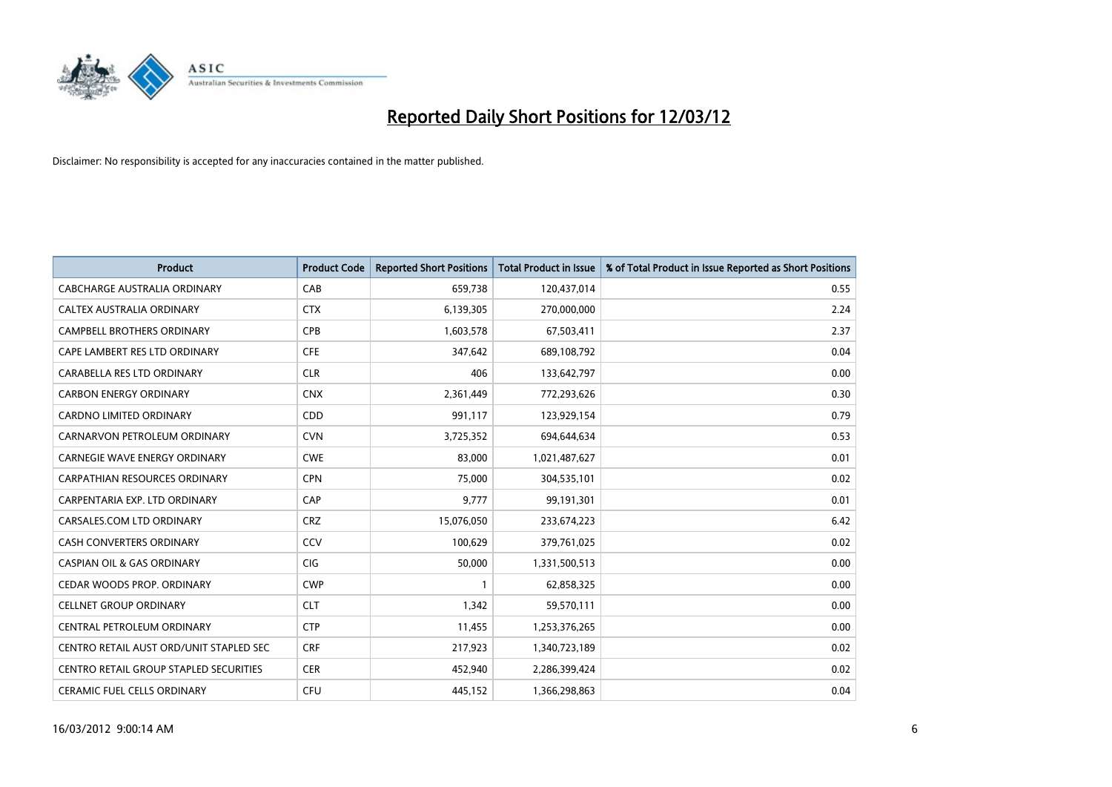

| <b>Product</b>                          | <b>Product Code</b> | <b>Reported Short Positions</b> | <b>Total Product in Issue</b> | % of Total Product in Issue Reported as Short Positions |
|-----------------------------------------|---------------------|---------------------------------|-------------------------------|---------------------------------------------------------|
| <b>CABCHARGE AUSTRALIA ORDINARY</b>     | CAB                 | 659,738                         | 120,437,014                   | 0.55                                                    |
| CALTEX AUSTRALIA ORDINARY               | <b>CTX</b>          | 6,139,305                       | 270,000,000                   | 2.24                                                    |
| <b>CAMPBELL BROTHERS ORDINARY</b>       | <b>CPB</b>          | 1,603,578                       | 67,503,411                    | 2.37                                                    |
| CAPE LAMBERT RES LTD ORDINARY           | <b>CFE</b>          | 347,642                         | 689,108,792                   | 0.04                                                    |
| CARABELLA RES LTD ORDINARY              | <b>CLR</b>          | 406                             | 133,642,797                   | 0.00                                                    |
| <b>CARBON ENERGY ORDINARY</b>           | <b>CNX</b>          | 2,361,449                       | 772,293,626                   | 0.30                                                    |
| <b>CARDNO LIMITED ORDINARY</b>          | CDD                 | 991,117                         | 123,929,154                   | 0.79                                                    |
| CARNARVON PETROLEUM ORDINARY            | <b>CVN</b>          | 3,725,352                       | 694,644,634                   | 0.53                                                    |
| CARNEGIE WAVE ENERGY ORDINARY           | <b>CWE</b>          | 83,000                          | 1,021,487,627                 | 0.01                                                    |
| CARPATHIAN RESOURCES ORDINARY           | <b>CPN</b>          | 75,000                          | 304,535,101                   | 0.02                                                    |
| CARPENTARIA EXP. LTD ORDINARY           | CAP                 | 9,777                           | 99,191,301                    | 0.01                                                    |
| CARSALES.COM LTD ORDINARY               | <b>CRZ</b>          | 15,076,050                      | 233,674,223                   | 6.42                                                    |
| <b>CASH CONVERTERS ORDINARY</b>         | CCV                 | 100.629                         | 379,761,025                   | 0.02                                                    |
| <b>CASPIAN OIL &amp; GAS ORDINARY</b>   | <b>CIG</b>          | 50.000                          | 1,331,500,513                 | 0.00                                                    |
| CEDAR WOODS PROP. ORDINARY              | <b>CWP</b>          | $\mathbf{1}$                    | 62,858,325                    | 0.00                                                    |
| <b>CELLNET GROUP ORDINARY</b>           | <b>CLT</b>          | 1,342                           | 59,570,111                    | 0.00                                                    |
| CENTRAL PETROLEUM ORDINARY              | <b>CTP</b>          | 11,455                          | 1,253,376,265                 | 0.00                                                    |
| CENTRO RETAIL AUST ORD/UNIT STAPLED SEC | <b>CRF</b>          | 217,923                         | 1,340,723,189                 | 0.02                                                    |
| CENTRO RETAIL GROUP STAPLED SECURITIES  | <b>CER</b>          | 452,940                         | 2,286,399,424                 | 0.02                                                    |
| <b>CERAMIC FUEL CELLS ORDINARY</b>      | <b>CFU</b>          | 445,152                         | 1,366,298,863                 | 0.04                                                    |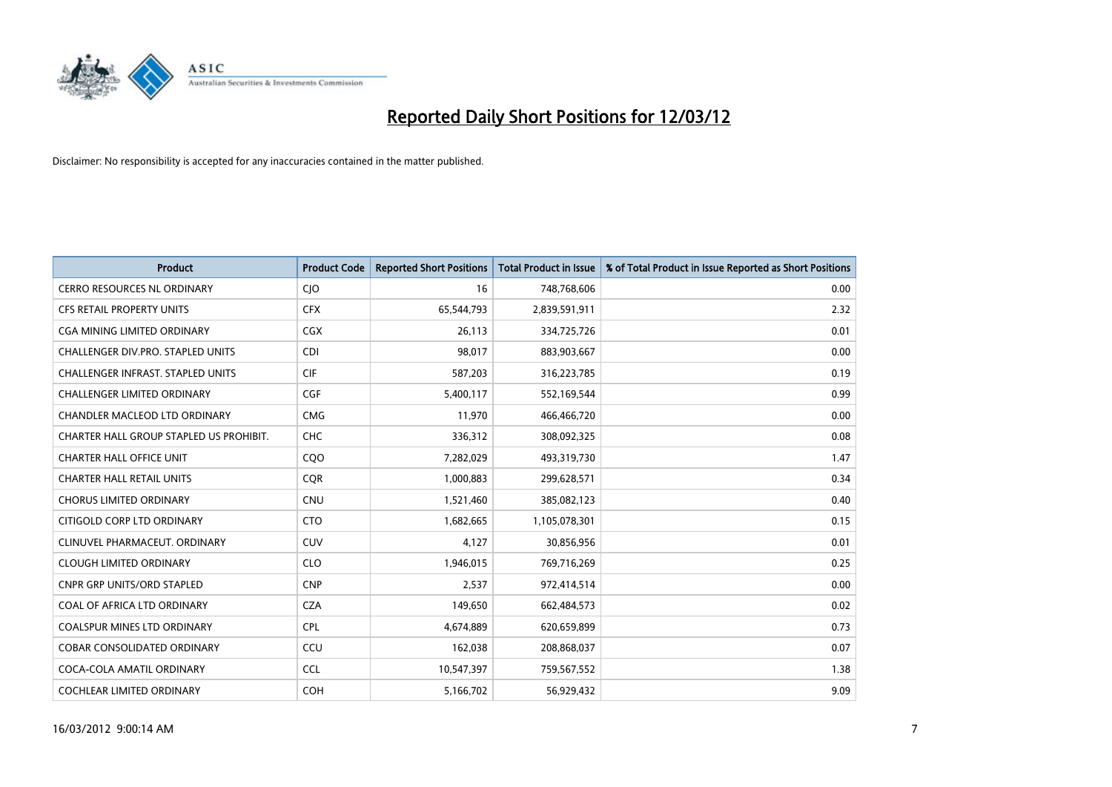

| Product                                  | <b>Product Code</b> | <b>Reported Short Positions</b> | <b>Total Product in Issue</b> | % of Total Product in Issue Reported as Short Positions |
|------------------------------------------|---------------------|---------------------------------|-------------------------------|---------------------------------------------------------|
| <b>CERRO RESOURCES NL ORDINARY</b>       | CJO                 | 16                              | 748,768,606                   | 0.00                                                    |
| CFS RETAIL PROPERTY UNITS                | <b>CFX</b>          | 65,544,793                      | 2,839,591,911                 | 2.32                                                    |
| CGA MINING LIMITED ORDINARY              | CGX                 | 26,113                          | 334,725,726                   | 0.01                                                    |
| CHALLENGER DIV.PRO. STAPLED UNITS        | <b>CDI</b>          | 98,017                          | 883,903,667                   | 0.00                                                    |
| <b>CHALLENGER INFRAST, STAPLED UNITS</b> | <b>CIF</b>          | 587,203                         | 316,223,785                   | 0.19                                                    |
| <b>CHALLENGER LIMITED ORDINARY</b>       | <b>CGF</b>          | 5,400,117                       | 552,169,544                   | 0.99                                                    |
| CHANDLER MACLEOD LTD ORDINARY            | <b>CMG</b>          | 11,970                          | 466,466,720                   | 0.00                                                    |
| CHARTER HALL GROUP STAPLED US PROHIBIT.  | <b>CHC</b>          | 336,312                         | 308,092,325                   | 0.08                                                    |
| <b>CHARTER HALL OFFICE UNIT</b>          | CQO                 | 7,282,029                       | 493,319,730                   | 1.47                                                    |
| <b>CHARTER HALL RETAIL UNITS</b>         | <b>COR</b>          | 1,000,883                       | 299,628,571                   | 0.34                                                    |
| <b>CHORUS LIMITED ORDINARY</b>           | <b>CNU</b>          | 1,521,460                       | 385,082,123                   | 0.40                                                    |
| CITIGOLD CORP LTD ORDINARY               | <b>CTO</b>          | 1,682,665                       | 1,105,078,301                 | 0.15                                                    |
| CLINUVEL PHARMACEUT. ORDINARY            | <b>CUV</b>          | 4,127                           | 30,856,956                    | 0.01                                                    |
| <b>CLOUGH LIMITED ORDINARY</b>           | <b>CLO</b>          | 1,946,015                       | 769,716,269                   | 0.25                                                    |
| <b>CNPR GRP UNITS/ORD STAPLED</b>        | <b>CNP</b>          | 2,537                           | 972,414,514                   | 0.00                                                    |
| COAL OF AFRICA LTD ORDINARY              | <b>CZA</b>          | 149,650                         | 662,484,573                   | 0.02                                                    |
| COALSPUR MINES LTD ORDINARY              | <b>CPL</b>          | 4,674,889                       | 620,659,899                   | 0.73                                                    |
| COBAR CONSOLIDATED ORDINARY              | CCU                 | 162,038                         | 208,868,037                   | 0.07                                                    |
| COCA-COLA AMATIL ORDINARY                | <b>CCL</b>          | 10,547,397                      | 759,567,552                   | 1.38                                                    |
| COCHLEAR LIMITED ORDINARY                | <b>COH</b>          | 5,166,702                       | 56,929,432                    | 9.09                                                    |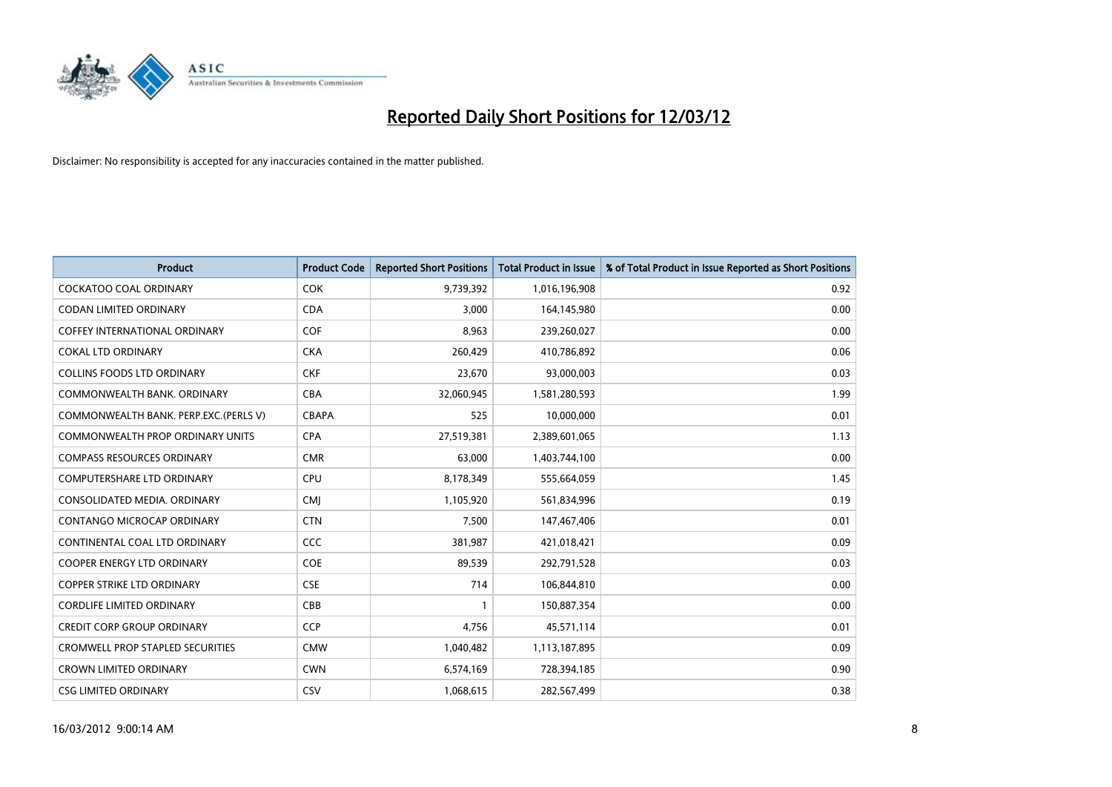

| <b>Product</b>                          | <b>Product Code</b> | <b>Reported Short Positions</b> | <b>Total Product in Issue</b> | % of Total Product in Issue Reported as Short Positions |
|-----------------------------------------|---------------------|---------------------------------|-------------------------------|---------------------------------------------------------|
| <b>COCKATOO COAL ORDINARY</b>           | <b>COK</b>          | 9,739,392                       | 1,016,196,908                 | 0.92                                                    |
| CODAN LIMITED ORDINARY                  | <b>CDA</b>          | 3,000                           | 164,145,980                   | 0.00                                                    |
| <b>COFFEY INTERNATIONAL ORDINARY</b>    | <b>COF</b>          | 8,963                           | 239,260,027                   | 0.00                                                    |
| <b>COKAL LTD ORDINARY</b>               | <b>CKA</b>          | 260,429                         | 410,786,892                   | 0.06                                                    |
| <b>COLLINS FOODS LTD ORDINARY</b>       | <b>CKF</b>          | 23,670                          | 93,000,003                    | 0.03                                                    |
| COMMONWEALTH BANK, ORDINARY             | <b>CBA</b>          | 32,060,945                      | 1,581,280,593                 | 1.99                                                    |
| COMMONWEALTH BANK. PERP.EXC. (PERLS V)  | <b>CBAPA</b>        | 525                             | 10,000,000                    | 0.01                                                    |
| <b>COMMONWEALTH PROP ORDINARY UNITS</b> | <b>CPA</b>          | 27,519,381                      | 2,389,601,065                 | 1.13                                                    |
| <b>COMPASS RESOURCES ORDINARY</b>       | <b>CMR</b>          | 63,000                          | 1,403,744,100                 | 0.00                                                    |
| <b>COMPUTERSHARE LTD ORDINARY</b>       | <b>CPU</b>          | 8,178,349                       | 555,664,059                   | 1.45                                                    |
| CONSOLIDATED MEDIA. ORDINARY            | <b>CMI</b>          | 1,105,920                       | 561,834,996                   | 0.19                                                    |
| CONTANGO MICROCAP ORDINARY              | <b>CTN</b>          | 7,500                           | 147,467,406                   | 0.01                                                    |
| CONTINENTAL COAL LTD ORDINARY           | <b>CCC</b>          | 381,987                         | 421,018,421                   | 0.09                                                    |
| <b>COOPER ENERGY LTD ORDINARY</b>       | <b>COE</b>          | 89,539                          | 292,791,528                   | 0.03                                                    |
| <b>COPPER STRIKE LTD ORDINARY</b>       | <b>CSE</b>          | 714                             | 106,844,810                   | 0.00                                                    |
| <b>CORDLIFE LIMITED ORDINARY</b>        | CBB                 |                                 | 150,887,354                   | 0.00                                                    |
| <b>CREDIT CORP GROUP ORDINARY</b>       | <b>CCP</b>          | 4,756                           | 45,571,114                    | 0.01                                                    |
| <b>CROMWELL PROP STAPLED SECURITIES</b> | <b>CMW</b>          | 1,040,482                       | 1,113,187,895                 | 0.09                                                    |
| <b>CROWN LIMITED ORDINARY</b>           | <b>CWN</b>          | 6,574,169                       | 728,394,185                   | 0.90                                                    |
| <b>CSG LIMITED ORDINARY</b>             | CSV                 | 1,068,615                       | 282,567,499                   | 0.38                                                    |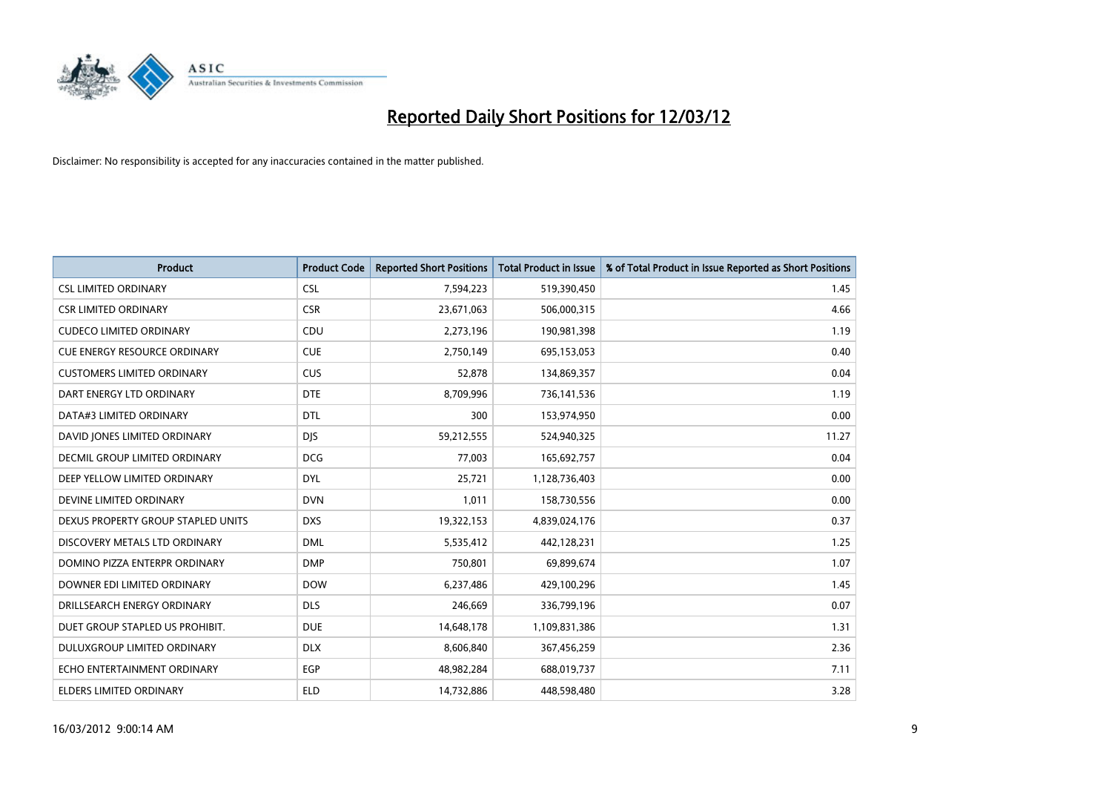

| <b>Product</b>                     | <b>Product Code</b> | <b>Reported Short Positions</b> | <b>Total Product in Issue</b> | % of Total Product in Issue Reported as Short Positions |
|------------------------------------|---------------------|---------------------------------|-------------------------------|---------------------------------------------------------|
| <b>CSL LIMITED ORDINARY</b>        | <b>CSL</b>          | 7,594,223                       | 519,390,450                   | 1.45                                                    |
| <b>CSR LIMITED ORDINARY</b>        | <b>CSR</b>          | 23,671,063                      | 506,000,315                   | 4.66                                                    |
| <b>CUDECO LIMITED ORDINARY</b>     | CDU                 | 2,273,196                       | 190,981,398                   | 1.19                                                    |
| CUE ENERGY RESOURCE ORDINARY       | <b>CUE</b>          | 2,750,149                       | 695,153,053                   | 0.40                                                    |
| <b>CUSTOMERS LIMITED ORDINARY</b>  | <b>CUS</b>          | 52,878                          | 134,869,357                   | 0.04                                                    |
| DART ENERGY LTD ORDINARY           | <b>DTE</b>          | 8,709,996                       | 736,141,536                   | 1.19                                                    |
| DATA#3 LIMITED ORDINARY            | <b>DTL</b>          | 300                             | 153,974,950                   | 0.00                                                    |
| DAVID JONES LIMITED ORDINARY       | <b>DJS</b>          | 59,212,555                      | 524,940,325                   | 11.27                                                   |
| DECMIL GROUP LIMITED ORDINARY      | <b>DCG</b>          | 77.003                          | 165,692,757                   | 0.04                                                    |
| DEEP YELLOW LIMITED ORDINARY       | <b>DYL</b>          | 25,721                          | 1,128,736,403                 | 0.00                                                    |
| DEVINE LIMITED ORDINARY            | <b>DVN</b>          | 1,011                           | 158,730,556                   | 0.00                                                    |
| DEXUS PROPERTY GROUP STAPLED UNITS | <b>DXS</b>          | 19,322,153                      | 4,839,024,176                 | 0.37                                                    |
| DISCOVERY METALS LTD ORDINARY      | <b>DML</b>          | 5,535,412                       | 442,128,231                   | 1.25                                                    |
| DOMINO PIZZA ENTERPR ORDINARY      | <b>DMP</b>          | 750,801                         | 69,899,674                    | 1.07                                                    |
| DOWNER EDI LIMITED ORDINARY        | <b>DOW</b>          | 6,237,486                       | 429,100,296                   | 1.45                                                    |
| DRILLSEARCH ENERGY ORDINARY        | <b>DLS</b>          | 246,669                         | 336,799,196                   | 0.07                                                    |
| DUET GROUP STAPLED US PROHIBIT.    | <b>DUE</b>          | 14,648,178                      | 1,109,831,386                 | 1.31                                                    |
| DULUXGROUP LIMITED ORDINARY        | <b>DLX</b>          | 8,606,840                       | 367,456,259                   | 2.36                                                    |
| ECHO ENTERTAINMENT ORDINARY        | <b>EGP</b>          | 48,982,284                      | 688,019,737                   | 7.11                                                    |
| ELDERS LIMITED ORDINARY            | <b>ELD</b>          | 14,732,886                      | 448,598,480                   | 3.28                                                    |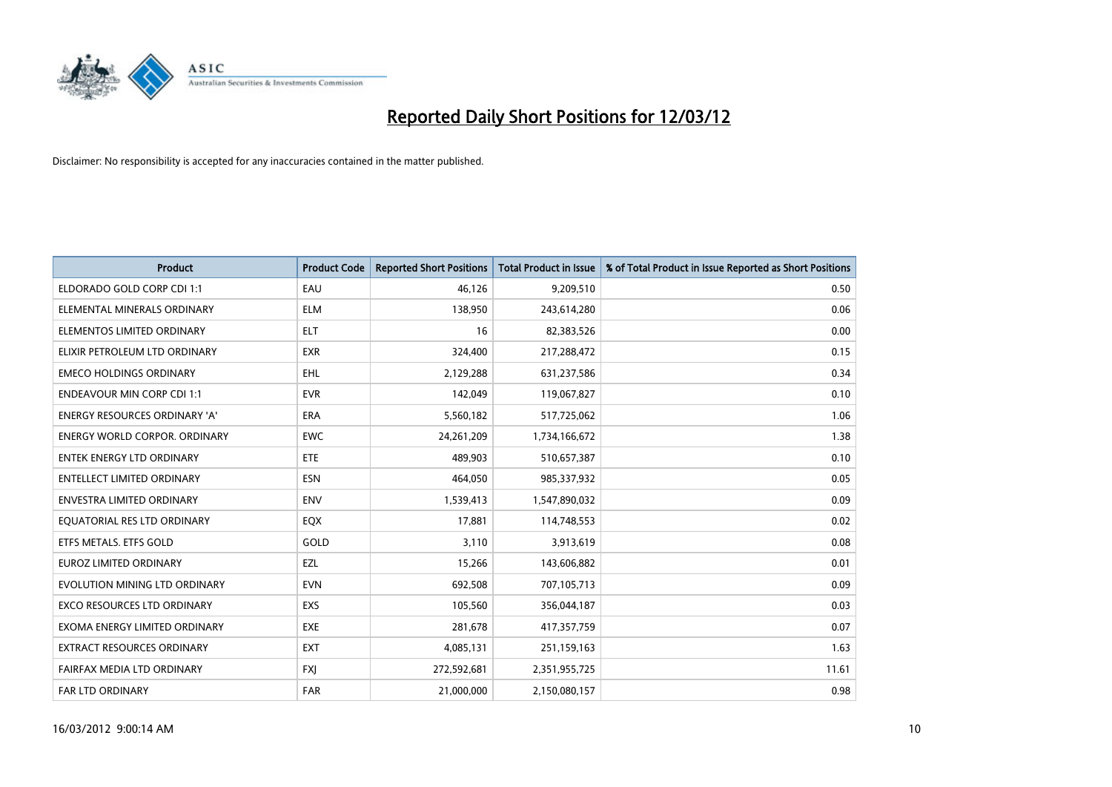

| <b>Product</b>                       | <b>Product Code</b> | <b>Reported Short Positions</b> | <b>Total Product in Issue</b> | % of Total Product in Issue Reported as Short Positions |
|--------------------------------------|---------------------|---------------------------------|-------------------------------|---------------------------------------------------------|
| ELDORADO GOLD CORP CDI 1:1           | EAU                 | 46,126                          | 9,209,510                     | 0.50                                                    |
| ELEMENTAL MINERALS ORDINARY          | <b>ELM</b>          | 138,950                         | 243,614,280                   | 0.06                                                    |
| ELEMENTOS LIMITED ORDINARY           | <b>ELT</b>          | 16                              | 82,383,526                    | 0.00                                                    |
| ELIXIR PETROLEUM LTD ORDINARY        | <b>EXR</b>          | 324,400                         | 217,288,472                   | 0.15                                                    |
| <b>EMECO HOLDINGS ORDINARY</b>       | EHL                 | 2,129,288                       | 631,237,586                   | 0.34                                                    |
| <b>ENDEAVOUR MIN CORP CDI 1:1</b>    | <b>EVR</b>          | 142,049                         | 119,067,827                   | 0.10                                                    |
| <b>ENERGY RESOURCES ORDINARY 'A'</b> | <b>ERA</b>          | 5,560,182                       | 517,725,062                   | 1.06                                                    |
| ENERGY WORLD CORPOR. ORDINARY        | <b>EWC</b>          | 24,261,209                      | 1,734,166,672                 | 1.38                                                    |
| <b>ENTEK ENERGY LTD ORDINARY</b>     | <b>ETE</b>          | 489,903                         | 510,657,387                   | 0.10                                                    |
| <b>ENTELLECT LIMITED ORDINARY</b>    | <b>ESN</b>          | 464,050                         | 985,337,932                   | 0.05                                                    |
| ENVESTRA LIMITED ORDINARY            | <b>ENV</b>          | 1,539,413                       | 1,547,890,032                 | 0.09                                                    |
| EQUATORIAL RES LTD ORDINARY          | EQX                 | 17,881                          | 114,748,553                   | 0.02                                                    |
| ETFS METALS. ETFS GOLD               | GOLD                | 3,110                           | 3,913,619                     | 0.08                                                    |
| EUROZ LIMITED ORDINARY               | EZL                 | 15,266                          | 143,606,882                   | 0.01                                                    |
| EVOLUTION MINING LTD ORDINARY        | <b>EVN</b>          | 692,508                         | 707,105,713                   | 0.09                                                    |
| EXCO RESOURCES LTD ORDINARY          | EXS                 | 105,560                         | 356,044,187                   | 0.03                                                    |
| EXOMA ENERGY LIMITED ORDINARY        | EXE                 | 281,678                         | 417,357,759                   | 0.07                                                    |
| EXTRACT RESOURCES ORDINARY           | <b>EXT</b>          | 4,085,131                       | 251,159,163                   | 1.63                                                    |
| FAIRFAX MEDIA LTD ORDINARY           | <b>FXI</b>          | 272,592,681                     | 2,351,955,725                 | 11.61                                                   |
| <b>FAR LTD ORDINARY</b>              | <b>FAR</b>          | 21,000,000                      | 2,150,080,157                 | 0.98                                                    |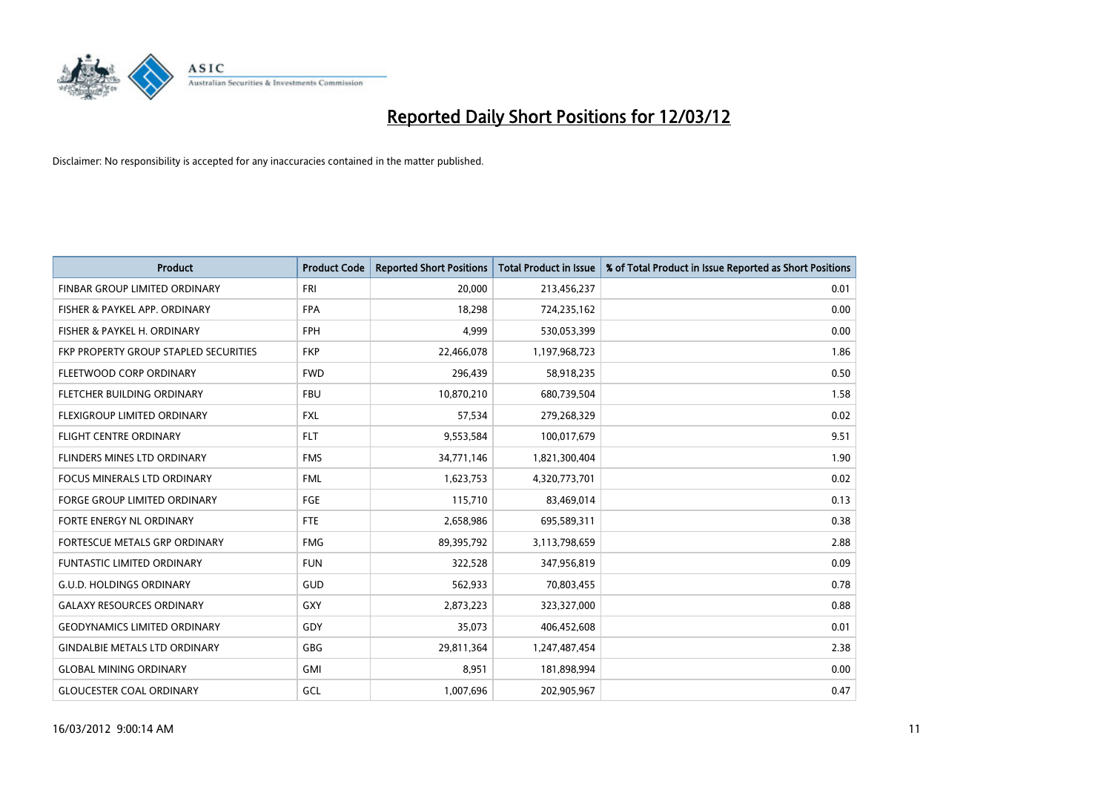

| <b>Product</b>                        | <b>Product Code</b> | <b>Reported Short Positions</b> | <b>Total Product in Issue</b> | % of Total Product in Issue Reported as Short Positions |
|---------------------------------------|---------------------|---------------------------------|-------------------------------|---------------------------------------------------------|
| FINBAR GROUP LIMITED ORDINARY         | <b>FRI</b>          | 20,000                          | 213,456,237                   | 0.01                                                    |
| FISHER & PAYKEL APP. ORDINARY         | <b>FPA</b>          | 18,298                          | 724,235,162                   | 0.00                                                    |
| FISHER & PAYKEL H. ORDINARY           | <b>FPH</b>          | 4,999                           | 530,053,399                   | 0.00                                                    |
| FKP PROPERTY GROUP STAPLED SECURITIES | <b>FKP</b>          | 22,466,078                      | 1,197,968,723                 | 1.86                                                    |
| FLEETWOOD CORP ORDINARY               | <b>FWD</b>          | 296,439                         | 58,918,235                    | 0.50                                                    |
| FLETCHER BUILDING ORDINARY            | <b>FBU</b>          | 10,870,210                      | 680,739,504                   | 1.58                                                    |
| FLEXIGROUP LIMITED ORDINARY           | FXL                 | 57,534                          | 279,268,329                   | 0.02                                                    |
| <b>FLIGHT CENTRE ORDINARY</b>         | <b>FLT</b>          | 9,553,584                       | 100,017,679                   | 9.51                                                    |
| FLINDERS MINES LTD ORDINARY           | <b>FMS</b>          | 34,771,146                      | 1,821,300,404                 | 1.90                                                    |
| <b>FOCUS MINERALS LTD ORDINARY</b>    | <b>FML</b>          | 1,623,753                       | 4,320,773,701                 | 0.02                                                    |
| <b>FORGE GROUP LIMITED ORDINARY</b>   | FGE                 | 115,710                         | 83,469,014                    | 0.13                                                    |
| FORTE ENERGY NL ORDINARY              | FTE                 | 2,658,986                       | 695,589,311                   | 0.38                                                    |
| FORTESCUE METALS GRP ORDINARY         | <b>FMG</b>          | 89,395,792                      | 3,113,798,659                 | 2.88                                                    |
| <b>FUNTASTIC LIMITED ORDINARY</b>     | <b>FUN</b>          | 322,528                         | 347,956,819                   | 0.09                                                    |
| <b>G.U.D. HOLDINGS ORDINARY</b>       | GUD                 | 562,933                         | 70,803,455                    | 0.78                                                    |
| <b>GALAXY RESOURCES ORDINARY</b>      | GXY                 | 2,873,223                       | 323,327,000                   | 0.88                                                    |
| <b>GEODYNAMICS LIMITED ORDINARY</b>   | GDY                 | 35,073                          | 406,452,608                   | 0.01                                                    |
| <b>GINDALBIE METALS LTD ORDINARY</b>  | GBG                 | 29,811,364                      | 1,247,487,454                 | 2.38                                                    |
| <b>GLOBAL MINING ORDINARY</b>         | GMI                 | 8,951                           | 181,898,994                   | 0.00                                                    |
| <b>GLOUCESTER COAL ORDINARY</b>       | GCL                 | 1,007,696                       | 202,905,967                   | 0.47                                                    |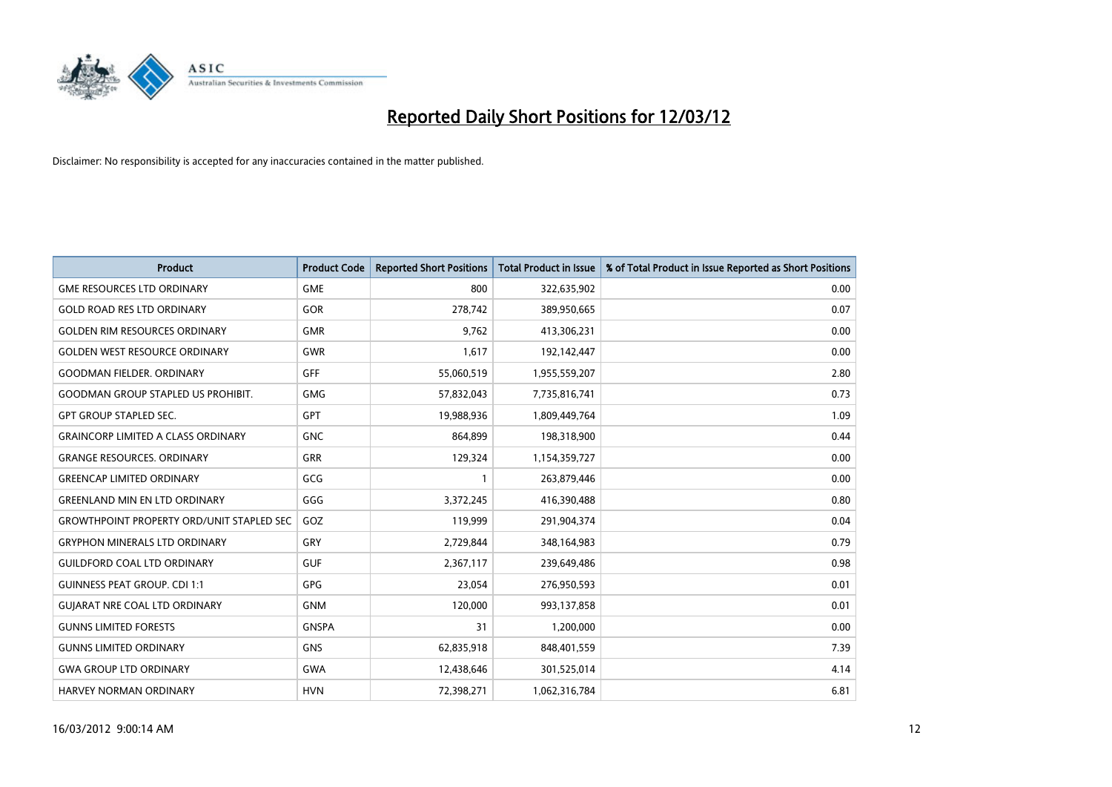

| <b>Product</b>                            | <b>Product Code</b> | <b>Reported Short Positions</b> | <b>Total Product in Issue</b> | % of Total Product in Issue Reported as Short Positions |
|-------------------------------------------|---------------------|---------------------------------|-------------------------------|---------------------------------------------------------|
| <b>GME RESOURCES LTD ORDINARY</b>         | <b>GME</b>          | 800                             | 322,635,902                   | 0.00                                                    |
| <b>GOLD ROAD RES LTD ORDINARY</b>         | <b>GOR</b>          | 278,742                         | 389,950,665                   | 0.07                                                    |
| <b>GOLDEN RIM RESOURCES ORDINARY</b>      | <b>GMR</b>          | 9,762                           | 413,306,231                   | 0.00                                                    |
| <b>GOLDEN WEST RESOURCE ORDINARY</b>      | <b>GWR</b>          | 1,617                           | 192,142,447                   | 0.00                                                    |
| <b>GOODMAN FIELDER, ORDINARY</b>          | GFF                 | 55,060,519                      | 1,955,559,207                 | 2.80                                                    |
| <b>GOODMAN GROUP STAPLED US PROHIBIT.</b> | <b>GMG</b>          | 57,832,043                      | 7,735,816,741                 | 0.73                                                    |
| <b>GPT GROUP STAPLED SEC.</b>             | GPT                 | 19,988,936                      | 1,809,449,764                 | 1.09                                                    |
| <b>GRAINCORP LIMITED A CLASS ORDINARY</b> | <b>GNC</b>          | 864,899                         | 198,318,900                   | 0.44                                                    |
| <b>GRANGE RESOURCES, ORDINARY</b>         | <b>GRR</b>          | 129,324                         | 1,154,359,727                 | 0.00                                                    |
| <b>GREENCAP LIMITED ORDINARY</b>          | GCG                 | 1                               | 263,879,446                   | 0.00                                                    |
| <b>GREENLAND MIN EN LTD ORDINARY</b>      | GGG                 | 3,372,245                       | 416,390,488                   | 0.80                                                    |
| GROWTHPOINT PROPERTY ORD/UNIT STAPLED SEC | GOZ                 | 119,999                         | 291,904,374                   | 0.04                                                    |
| <b>GRYPHON MINERALS LTD ORDINARY</b>      | GRY                 | 2,729,844                       | 348,164,983                   | 0.79                                                    |
| <b>GUILDFORD COAL LTD ORDINARY</b>        | <b>GUF</b>          | 2,367,117                       | 239,649,486                   | 0.98                                                    |
| <b>GUINNESS PEAT GROUP. CDI 1:1</b>       | <b>GPG</b>          | 23,054                          | 276,950,593                   | 0.01                                                    |
| <b>GUIARAT NRE COAL LTD ORDINARY</b>      | <b>GNM</b>          | 120,000                         | 993,137,858                   | 0.01                                                    |
| <b>GUNNS LIMITED FORESTS</b>              | <b>GNSPA</b>        | 31                              | 1,200,000                     | 0.00                                                    |
| <b>GUNNS LIMITED ORDINARY</b>             | <b>GNS</b>          | 62,835,918                      | 848,401,559                   | 7.39                                                    |
| <b>GWA GROUP LTD ORDINARY</b>             | <b>GWA</b>          | 12,438,646                      | 301,525,014                   | 4.14                                                    |
| <b>HARVEY NORMAN ORDINARY</b>             | <b>HVN</b>          | 72,398,271                      | 1,062,316,784                 | 6.81                                                    |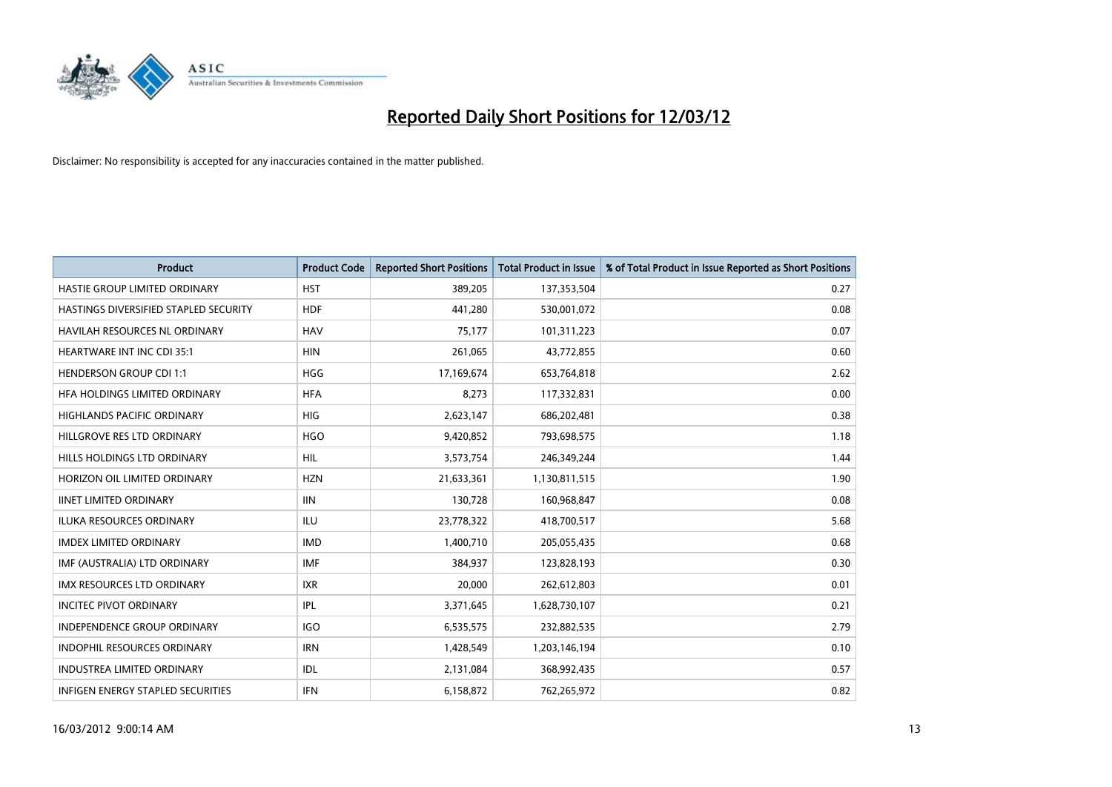

| <b>Product</b>                        | <b>Product Code</b> | <b>Reported Short Positions</b> | <b>Total Product in Issue</b> | % of Total Product in Issue Reported as Short Positions |
|---------------------------------------|---------------------|---------------------------------|-------------------------------|---------------------------------------------------------|
| HASTIE GROUP LIMITED ORDINARY         | <b>HST</b>          | 389,205                         | 137,353,504                   | 0.27                                                    |
| HASTINGS DIVERSIFIED STAPLED SECURITY | <b>HDF</b>          | 441,280                         | 530,001,072                   | 0.08                                                    |
| HAVILAH RESOURCES NL ORDINARY         | <b>HAV</b>          | 75,177                          | 101,311,223                   | 0.07                                                    |
| <b>HEARTWARE INT INC CDI 35:1</b>     | <b>HIN</b>          | 261,065                         | 43,772,855                    | 0.60                                                    |
| <b>HENDERSON GROUP CDI 1:1</b>        | <b>HGG</b>          | 17,169,674                      | 653,764,818                   | 2.62                                                    |
| HFA HOLDINGS LIMITED ORDINARY         | <b>HFA</b>          | 8,273                           | 117,332,831                   | 0.00                                                    |
| <b>HIGHLANDS PACIFIC ORDINARY</b>     | <b>HIG</b>          | 2,623,147                       | 686,202,481                   | 0.38                                                    |
| HILLGROVE RES LTD ORDINARY            | <b>HGO</b>          | 9,420,852                       | 793,698,575                   | 1.18                                                    |
| HILLS HOLDINGS LTD ORDINARY           | <b>HIL</b>          | 3,573,754                       | 246,349,244                   | 1.44                                                    |
| HORIZON OIL LIMITED ORDINARY          | <b>HZN</b>          | 21,633,361                      | 1,130,811,515                 | 1.90                                                    |
| <b>IINET LIMITED ORDINARY</b>         | <b>IIN</b>          | 130,728                         | 160,968,847                   | 0.08                                                    |
| <b>ILUKA RESOURCES ORDINARY</b>       | ILU                 | 23,778,322                      | 418,700,517                   | 5.68                                                    |
| <b>IMDEX LIMITED ORDINARY</b>         | <b>IMD</b>          | 1,400,710                       | 205,055,435                   | 0.68                                                    |
| IMF (AUSTRALIA) LTD ORDINARY          | <b>IMF</b>          | 384,937                         | 123,828,193                   | 0.30                                                    |
| <b>IMX RESOURCES LTD ORDINARY</b>     | <b>IXR</b>          | 20,000                          | 262,612,803                   | 0.01                                                    |
| <b>INCITEC PIVOT ORDINARY</b>         | <b>IPL</b>          | 3,371,645                       | 1,628,730,107                 | 0.21                                                    |
| <b>INDEPENDENCE GROUP ORDINARY</b>    | <b>IGO</b>          | 6,535,575                       | 232,882,535                   | 2.79                                                    |
| INDOPHIL RESOURCES ORDINARY           | <b>IRN</b>          | 1,428,549                       | 1,203,146,194                 | 0.10                                                    |
| <b>INDUSTREA LIMITED ORDINARY</b>     | IDL                 | 2,131,084                       | 368,992,435                   | 0.57                                                    |
| INFIGEN ENERGY STAPLED SECURITIES     | <b>IFN</b>          | 6,158,872                       | 762,265,972                   | 0.82                                                    |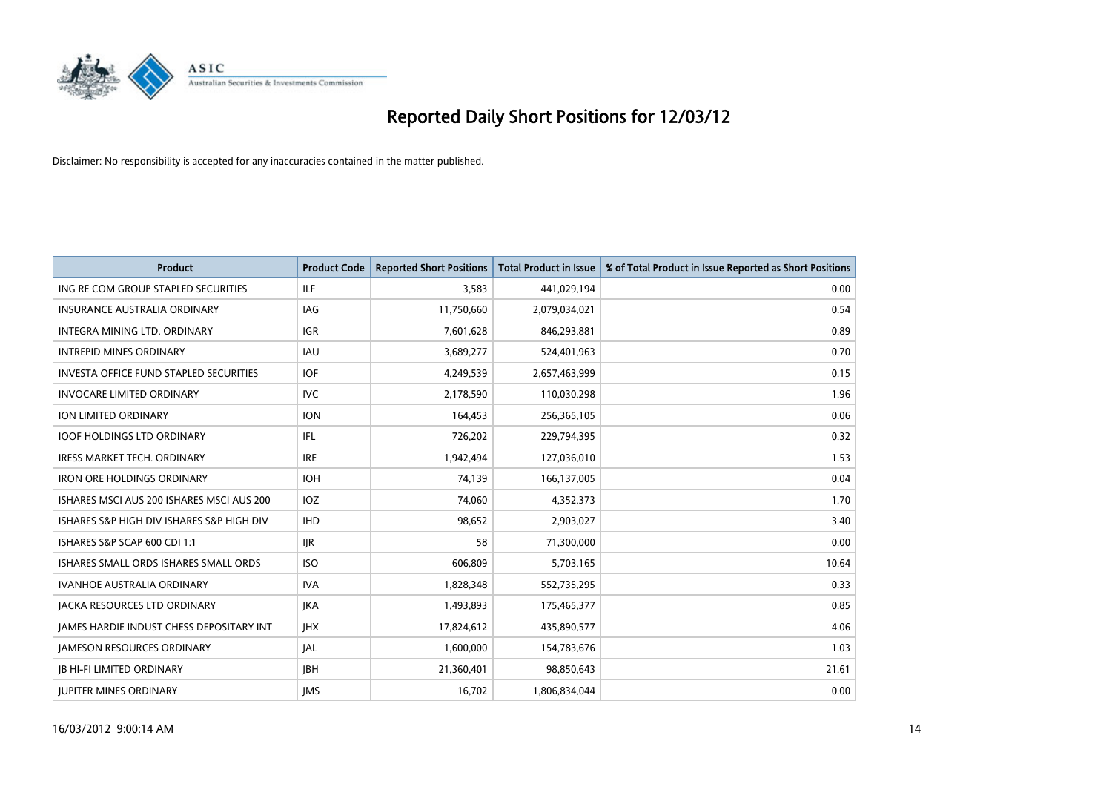

| <b>Product</b>                                | <b>Product Code</b> | <b>Reported Short Positions</b> | <b>Total Product in Issue</b> | % of Total Product in Issue Reported as Short Positions |
|-----------------------------------------------|---------------------|---------------------------------|-------------------------------|---------------------------------------------------------|
| ING RE COM GROUP STAPLED SECURITIES           | ILF                 | 3,583                           | 441,029,194                   | 0.00                                                    |
| <b>INSURANCE AUSTRALIA ORDINARY</b>           | <b>IAG</b>          | 11,750,660                      | 2,079,034,021                 | 0.54                                                    |
| INTEGRA MINING LTD, ORDINARY                  | <b>IGR</b>          | 7,601,628                       | 846,293,881                   | 0.89                                                    |
| <b>INTREPID MINES ORDINARY</b>                | IAU                 | 3,689,277                       | 524,401,963                   | 0.70                                                    |
| <b>INVESTA OFFICE FUND STAPLED SECURITIES</b> | <b>IOF</b>          | 4,249,539                       | 2,657,463,999                 | 0.15                                                    |
| <b>INVOCARE LIMITED ORDINARY</b>              | <b>IVC</b>          | 2,178,590                       | 110,030,298                   | 1.96                                                    |
| <b>ION LIMITED ORDINARY</b>                   | <b>ION</b>          | 164,453                         | 256,365,105                   | 0.06                                                    |
| <b>IOOF HOLDINGS LTD ORDINARY</b>             | IFL                 | 726,202                         | 229,794,395                   | 0.32                                                    |
| <b>IRESS MARKET TECH. ORDINARY</b>            | <b>IRE</b>          | 1,942,494                       | 127,036,010                   | 1.53                                                    |
| <b>IRON ORE HOLDINGS ORDINARY</b>             | <b>IOH</b>          | 74,139                          | 166,137,005                   | 0.04                                                    |
| ISHARES MSCI AUS 200 ISHARES MSCI AUS 200     | <b>IOZ</b>          | 74,060                          | 4,352,373                     | 1.70                                                    |
| ISHARES S&P HIGH DIV ISHARES S&P HIGH DIV     | <b>IHD</b>          | 98,652                          | 2,903,027                     | 3.40                                                    |
| ISHARES S&P SCAP 600 CDI 1:1                  | <b>IJR</b>          | 58                              | 71,300,000                    | 0.00                                                    |
| ISHARES SMALL ORDS ISHARES SMALL ORDS         | <b>ISO</b>          | 606.809                         | 5,703,165                     | 10.64                                                   |
| <b>IVANHOE AUSTRALIA ORDINARY</b>             | <b>IVA</b>          | 1,828,348                       | 552,735,295                   | 0.33                                                    |
| <b>JACKA RESOURCES LTD ORDINARY</b>           | <b>IKA</b>          | 1,493,893                       | 175,465,377                   | 0.85                                                    |
| JAMES HARDIE INDUST CHESS DEPOSITARY INT      | <b>IHX</b>          | 17,824,612                      | 435,890,577                   | 4.06                                                    |
| <b>JAMESON RESOURCES ORDINARY</b>             | <b>JAL</b>          | 1,600,000                       | 154,783,676                   | 1.03                                                    |
| <b>IB HI-FI LIMITED ORDINARY</b>              | <b>IBH</b>          | 21,360,401                      | 98,850,643                    | 21.61                                                   |
| <b>JUPITER MINES ORDINARY</b>                 | <b>IMS</b>          | 16,702                          | 1,806,834,044                 | 0.00                                                    |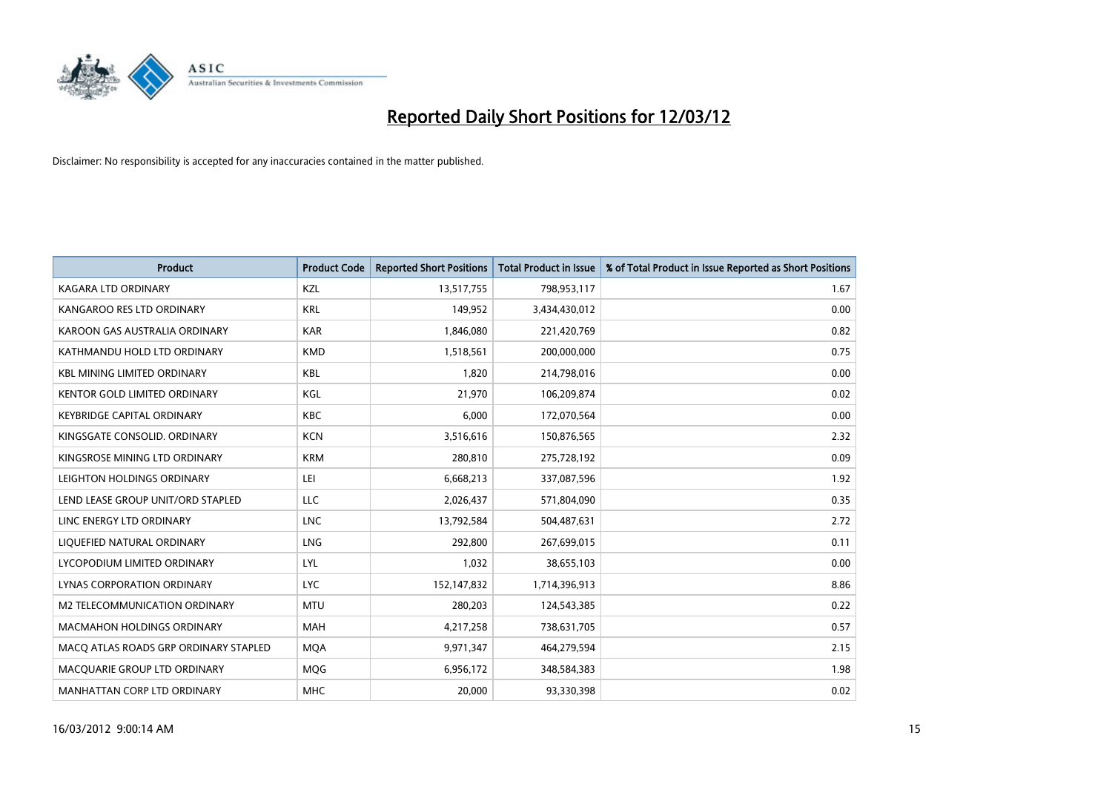

| <b>Product</b>                        | <b>Product Code</b> | <b>Reported Short Positions</b> | <b>Total Product in Issue</b> | % of Total Product in Issue Reported as Short Positions |
|---------------------------------------|---------------------|---------------------------------|-------------------------------|---------------------------------------------------------|
| <b>KAGARA LTD ORDINARY</b>            | <b>KZL</b>          | 13,517,755                      | 798,953,117                   | 1.67                                                    |
| KANGAROO RES LTD ORDINARY             | <b>KRL</b>          | 149,952                         | 3,434,430,012                 | 0.00                                                    |
| KAROON GAS AUSTRALIA ORDINARY         | <b>KAR</b>          | 1,846,080                       | 221,420,769                   | 0.82                                                    |
| KATHMANDU HOLD LTD ORDINARY           | <b>KMD</b>          | 1,518,561                       | 200,000,000                   | 0.75                                                    |
| <b>KBL MINING LIMITED ORDINARY</b>    | <b>KBL</b>          | 1,820                           | 214,798,016                   | 0.00                                                    |
| KENTOR GOLD LIMITED ORDINARY          | KGL                 | 21,970                          | 106,209,874                   | 0.02                                                    |
| <b>KEYBRIDGE CAPITAL ORDINARY</b>     | <b>KBC</b>          | 6,000                           | 172,070,564                   | 0.00                                                    |
| KINGSGATE CONSOLID. ORDINARY          | <b>KCN</b>          | 3,516,616                       | 150,876,565                   | 2.32                                                    |
| KINGSROSE MINING LTD ORDINARY         | <b>KRM</b>          | 280,810                         | 275,728,192                   | 0.09                                                    |
| LEIGHTON HOLDINGS ORDINARY            | LEI                 | 6,668,213                       | 337,087,596                   | 1.92                                                    |
| LEND LEASE GROUP UNIT/ORD STAPLED     | LLC                 | 2,026,437                       | 571,804,090                   | 0.35                                                    |
| LINC ENERGY LTD ORDINARY              | <b>LNC</b>          | 13,792,584                      | 504,487,631                   | 2.72                                                    |
| LIQUEFIED NATURAL ORDINARY            | LNG                 | 292,800                         | 267,699,015                   | 0.11                                                    |
| LYCOPODIUM LIMITED ORDINARY           | LYL                 | 1,032                           | 38,655,103                    | 0.00                                                    |
| LYNAS CORPORATION ORDINARY            | <b>LYC</b>          | 152,147,832                     | 1,714,396,913                 | 8.86                                                    |
| M2 TELECOMMUNICATION ORDINARY         | <b>MTU</b>          | 280,203                         | 124,543,385                   | 0.22                                                    |
| MACMAHON HOLDINGS ORDINARY            | <b>MAH</b>          | 4,217,258                       | 738,631,705                   | 0.57                                                    |
| MACO ATLAS ROADS GRP ORDINARY STAPLED | <b>MQA</b>          | 9,971,347                       | 464,279,594                   | 2.15                                                    |
| MACQUARIE GROUP LTD ORDINARY          | <b>MOG</b>          | 6,956,172                       | 348,584,383                   | 1.98                                                    |
| MANHATTAN CORP LTD ORDINARY           | <b>MHC</b>          | 20,000                          | 93,330,398                    | 0.02                                                    |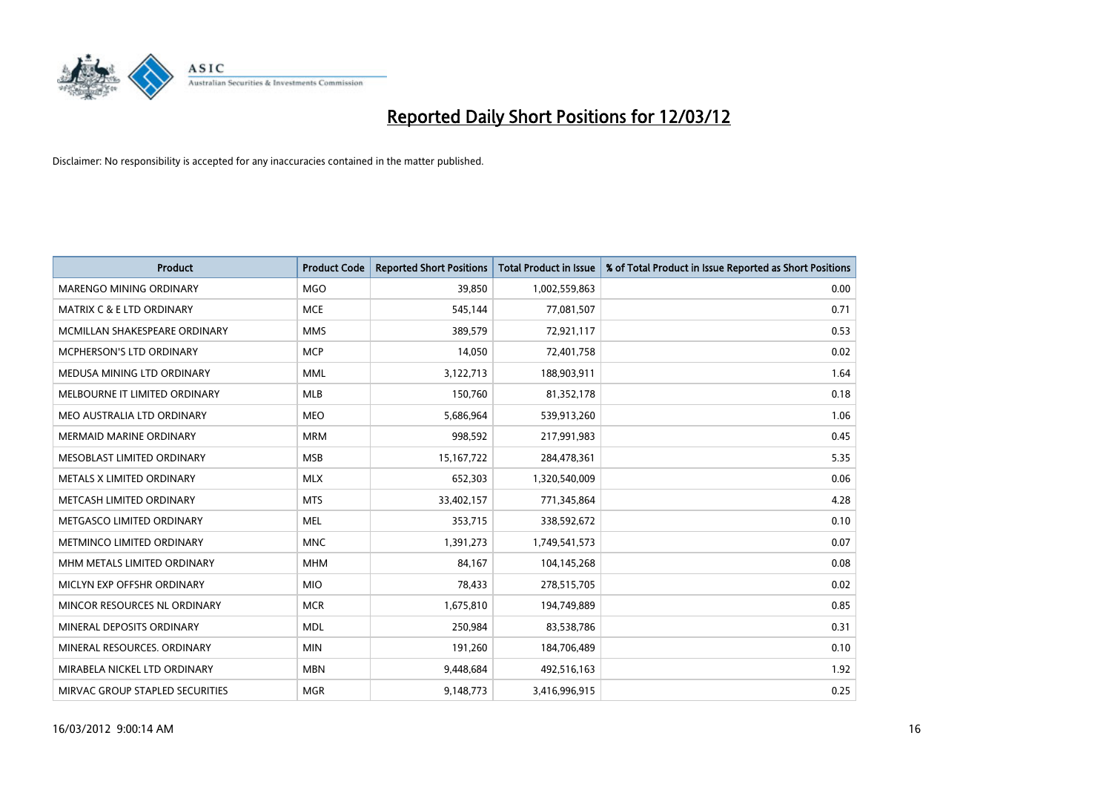

| <b>Product</b>                       | <b>Product Code</b> | <b>Reported Short Positions</b> | <b>Total Product in Issue</b> | % of Total Product in Issue Reported as Short Positions |
|--------------------------------------|---------------------|---------------------------------|-------------------------------|---------------------------------------------------------|
| MARENGO MINING ORDINARY              | <b>MGO</b>          | 39,850                          | 1,002,559,863                 | 0.00                                                    |
| <b>MATRIX C &amp; E LTD ORDINARY</b> | <b>MCE</b>          | 545,144                         | 77,081,507                    | 0.71                                                    |
| MCMILLAN SHAKESPEARE ORDINARY        | <b>MMS</b>          | 389,579                         | 72,921,117                    | 0.53                                                    |
| MCPHERSON'S LTD ORDINARY             | <b>MCP</b>          | 14,050                          | 72,401,758                    | 0.02                                                    |
| MEDUSA MINING LTD ORDINARY           | <b>MML</b>          | 3,122,713                       | 188,903,911                   | 1.64                                                    |
| MELBOURNE IT LIMITED ORDINARY        | <b>MLB</b>          | 150,760                         | 81,352,178                    | 0.18                                                    |
| MEO AUSTRALIA LTD ORDINARY           | <b>MEO</b>          | 5,686,964                       | 539,913,260                   | 1.06                                                    |
| MERMAID MARINE ORDINARY              | <b>MRM</b>          | 998,592                         | 217,991,983                   | 0.45                                                    |
| MESOBLAST LIMITED ORDINARY           | <b>MSB</b>          | 15, 167, 722                    | 284,478,361                   | 5.35                                                    |
| METALS X LIMITED ORDINARY            | <b>MLX</b>          | 652,303                         | 1,320,540,009                 | 0.06                                                    |
| METCASH LIMITED ORDINARY             | <b>MTS</b>          | 33,402,157                      | 771,345,864                   | 4.28                                                    |
| METGASCO LIMITED ORDINARY            | <b>MEL</b>          | 353,715                         | 338,592,672                   | 0.10                                                    |
| METMINCO LIMITED ORDINARY            | <b>MNC</b>          | 1,391,273                       | 1,749,541,573                 | 0.07                                                    |
| MHM METALS LIMITED ORDINARY          | <b>MHM</b>          | 84,167                          | 104,145,268                   | 0.08                                                    |
| MICLYN EXP OFFSHR ORDINARY           | <b>MIO</b>          | 78,433                          | 278,515,705                   | 0.02                                                    |
| MINCOR RESOURCES NL ORDINARY         | <b>MCR</b>          | 1,675,810                       | 194,749,889                   | 0.85                                                    |
| MINERAL DEPOSITS ORDINARY            | <b>MDL</b>          | 250,984                         | 83,538,786                    | 0.31                                                    |
| MINERAL RESOURCES. ORDINARY          | <b>MIN</b>          | 191,260                         | 184,706,489                   | 0.10                                                    |
| MIRABELA NICKEL LTD ORDINARY         | <b>MBN</b>          | 9,448,684                       | 492,516,163                   | 1.92                                                    |
| MIRVAC GROUP STAPLED SECURITIES      | <b>MGR</b>          | 9,148,773                       | 3,416,996,915                 | 0.25                                                    |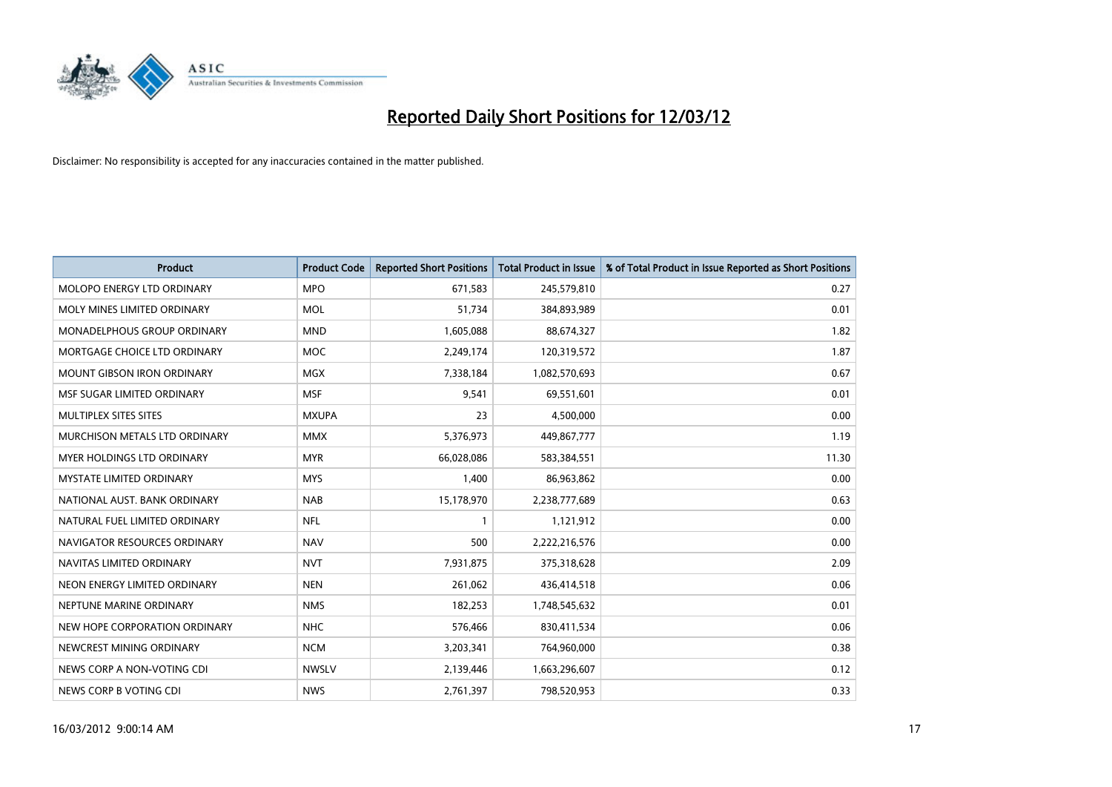

| <b>Product</b>                    | <b>Product Code</b> | <b>Reported Short Positions</b> | <b>Total Product in Issue</b> | % of Total Product in Issue Reported as Short Positions |
|-----------------------------------|---------------------|---------------------------------|-------------------------------|---------------------------------------------------------|
| MOLOPO ENERGY LTD ORDINARY        | <b>MPO</b>          | 671,583                         | 245,579,810                   | 0.27                                                    |
| MOLY MINES LIMITED ORDINARY       | MOL                 | 51,734                          | 384,893,989                   | 0.01                                                    |
| MONADELPHOUS GROUP ORDINARY       | <b>MND</b>          | 1,605,088                       | 88,674,327                    | 1.82                                                    |
| MORTGAGE CHOICE LTD ORDINARY      | <b>MOC</b>          | 2,249,174                       | 120,319,572                   | 1.87                                                    |
| <b>MOUNT GIBSON IRON ORDINARY</b> | <b>MGX</b>          | 7,338,184                       | 1,082,570,693                 | 0.67                                                    |
| MSF SUGAR LIMITED ORDINARY        | <b>MSF</b>          | 9,541                           | 69,551,601                    | 0.01                                                    |
| MULTIPLEX SITES SITES             | <b>MXUPA</b>        | 23                              | 4,500,000                     | 0.00                                                    |
| MURCHISON METALS LTD ORDINARY     | <b>MMX</b>          | 5,376,973                       | 449,867,777                   | 1.19                                                    |
| MYER HOLDINGS LTD ORDINARY        | <b>MYR</b>          | 66,028,086                      | 583,384,551                   | 11.30                                                   |
| <b>MYSTATE LIMITED ORDINARY</b>   | <b>MYS</b>          | 1,400                           | 86,963,862                    | 0.00                                                    |
| NATIONAL AUST. BANK ORDINARY      | <b>NAB</b>          | 15,178,970                      | 2,238,777,689                 | 0.63                                                    |
| NATURAL FUEL LIMITED ORDINARY     | <b>NFL</b>          | $\mathbf{1}$                    | 1,121,912                     | 0.00                                                    |
| NAVIGATOR RESOURCES ORDINARY      | <b>NAV</b>          | 500                             | 2,222,216,576                 | 0.00                                                    |
| NAVITAS LIMITED ORDINARY          | <b>NVT</b>          | 7,931,875                       | 375,318,628                   | 2.09                                                    |
| NEON ENERGY LIMITED ORDINARY      | <b>NEN</b>          | 261,062                         | 436,414,518                   | 0.06                                                    |
| NEPTUNE MARINE ORDINARY           | <b>NMS</b>          | 182,253                         | 1,748,545,632                 | 0.01                                                    |
| NEW HOPE CORPORATION ORDINARY     | <b>NHC</b>          | 576,466                         | 830,411,534                   | 0.06                                                    |
| NEWCREST MINING ORDINARY          | <b>NCM</b>          | 3,203,341                       | 764,960,000                   | 0.38                                                    |
| NEWS CORP A NON-VOTING CDI        | <b>NWSLV</b>        | 2,139,446                       | 1,663,296,607                 | 0.12                                                    |
| NEWS CORP B VOTING CDI            | <b>NWS</b>          | 2,761,397                       | 798,520,953                   | 0.33                                                    |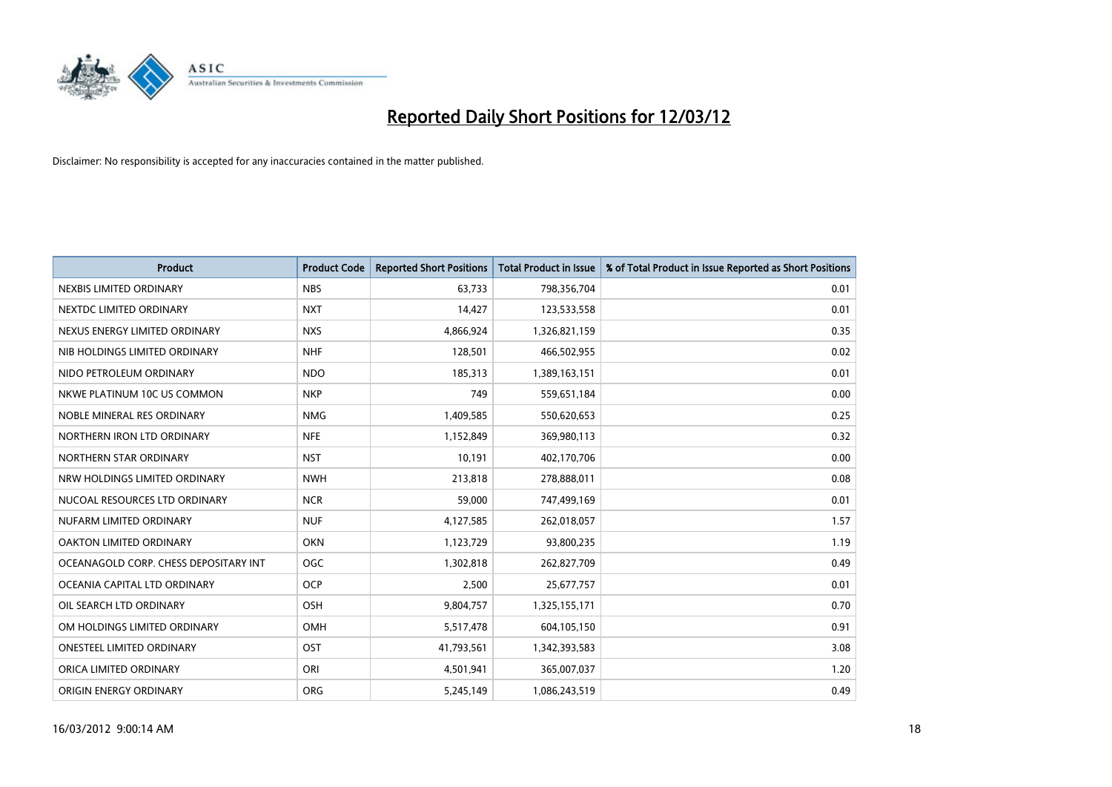

| <b>Product</b>                        | <b>Product Code</b> | <b>Reported Short Positions</b> | <b>Total Product in Issue</b> | % of Total Product in Issue Reported as Short Positions |
|---------------------------------------|---------------------|---------------------------------|-------------------------------|---------------------------------------------------------|
| NEXBIS LIMITED ORDINARY               | <b>NBS</b>          | 63,733                          | 798,356,704                   | 0.01                                                    |
| NEXTDC LIMITED ORDINARY               | <b>NXT</b>          | 14,427                          | 123,533,558                   | 0.01                                                    |
| NEXUS ENERGY LIMITED ORDINARY         | <b>NXS</b>          | 4,866,924                       | 1,326,821,159                 | 0.35                                                    |
| NIB HOLDINGS LIMITED ORDINARY         | <b>NHF</b>          | 128,501                         | 466,502,955                   | 0.02                                                    |
| NIDO PETROLEUM ORDINARY               | <b>NDO</b>          | 185,313                         | 1,389,163,151                 | 0.01                                                    |
| NKWE PLATINUM 10C US COMMON           | <b>NKP</b>          | 749                             | 559,651,184                   | 0.00                                                    |
| NOBLE MINERAL RES ORDINARY            | <b>NMG</b>          | 1,409,585                       | 550,620,653                   | 0.25                                                    |
| NORTHERN IRON LTD ORDINARY            | <b>NFE</b>          | 1,152,849                       | 369,980,113                   | 0.32                                                    |
| NORTHERN STAR ORDINARY                | <b>NST</b>          | 10,191                          | 402,170,706                   | 0.00                                                    |
| NRW HOLDINGS LIMITED ORDINARY         | <b>NWH</b>          | 213,818                         | 278,888,011                   | 0.08                                                    |
| NUCOAL RESOURCES LTD ORDINARY         | <b>NCR</b>          | 59,000                          | 747,499,169                   | 0.01                                                    |
| NUFARM LIMITED ORDINARY               | <b>NUF</b>          | 4,127,585                       | 262,018,057                   | 1.57                                                    |
| OAKTON LIMITED ORDINARY               | <b>OKN</b>          | 1,123,729                       | 93,800,235                    | 1.19                                                    |
| OCEANAGOLD CORP. CHESS DEPOSITARY INT | <b>OGC</b>          | 1,302,818                       | 262,827,709                   | 0.49                                                    |
| OCEANIA CAPITAL LTD ORDINARY          | <b>OCP</b>          | 2,500                           | 25,677,757                    | 0.01                                                    |
| OIL SEARCH LTD ORDINARY               | OSH                 | 9,804,757                       | 1,325,155,171                 | 0.70                                                    |
| OM HOLDINGS LIMITED ORDINARY          | OMH                 | 5,517,478                       | 604,105,150                   | 0.91                                                    |
| <b>ONESTEEL LIMITED ORDINARY</b>      | OST                 | 41,793,561                      | 1,342,393,583                 | 3.08                                                    |
| ORICA LIMITED ORDINARY                | ORI                 | 4,501,941                       | 365,007,037                   | 1.20                                                    |
| ORIGIN ENERGY ORDINARY                | <b>ORG</b>          | 5,245,149                       | 1,086,243,519                 | 0.49                                                    |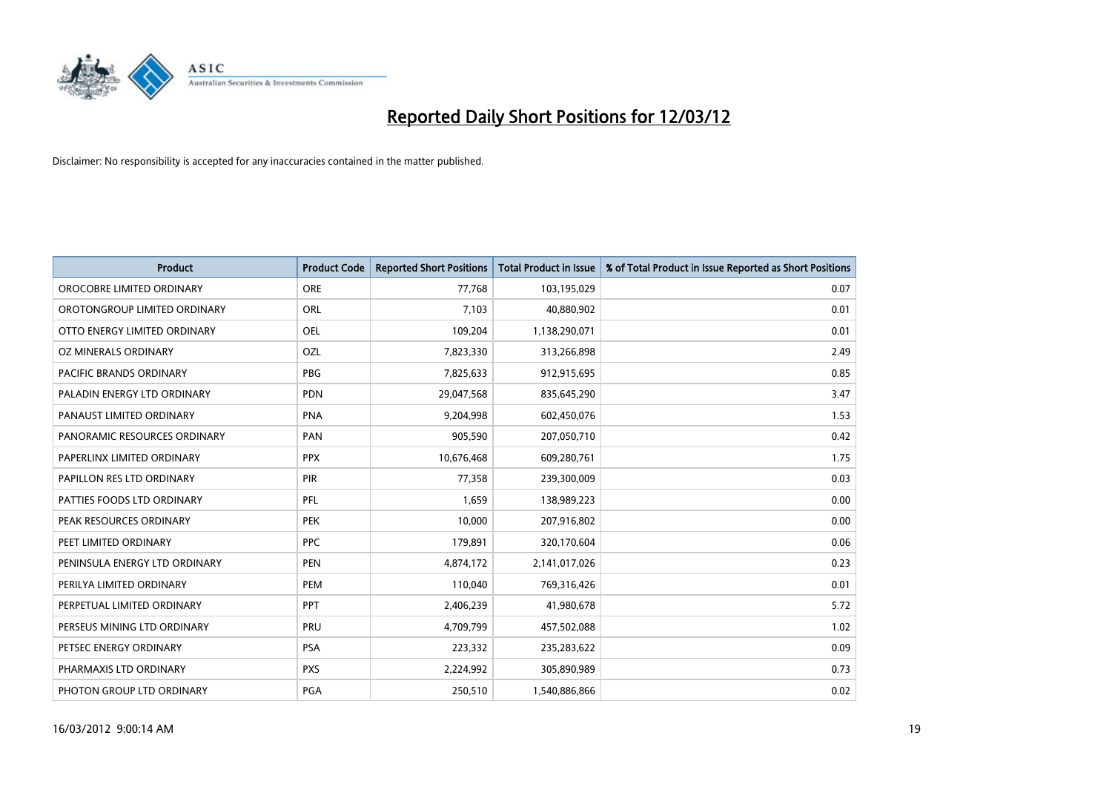

| <b>Product</b>                 | <b>Product Code</b> | <b>Reported Short Positions</b> | <b>Total Product in Issue</b> | % of Total Product in Issue Reported as Short Positions |
|--------------------------------|---------------------|---------------------------------|-------------------------------|---------------------------------------------------------|
| OROCOBRE LIMITED ORDINARY      | <b>ORE</b>          | 77,768                          | 103,195,029                   | 0.07                                                    |
| OROTONGROUP LIMITED ORDINARY   | ORL                 | 7,103                           | 40,880,902                    | 0.01                                                    |
| OTTO ENERGY LIMITED ORDINARY   | OEL                 | 109,204                         | 1,138,290,071                 | 0.01                                                    |
| OZ MINERALS ORDINARY           | OZL                 | 7,823,330                       | 313,266,898                   | 2.49                                                    |
| <b>PACIFIC BRANDS ORDINARY</b> | <b>PBG</b>          | 7,825,633                       | 912,915,695                   | 0.85                                                    |
| PALADIN ENERGY LTD ORDINARY    | <b>PDN</b>          | 29,047,568                      | 835,645,290                   | 3.47                                                    |
| PANAUST LIMITED ORDINARY       | <b>PNA</b>          | 9,204,998                       | 602,450,076                   | 1.53                                                    |
| PANORAMIC RESOURCES ORDINARY   | PAN                 | 905,590                         | 207,050,710                   | 0.42                                                    |
| PAPERLINX LIMITED ORDINARY     | <b>PPX</b>          | 10,676,468                      | 609,280,761                   | 1.75                                                    |
| PAPILLON RES LTD ORDINARY      | PIR                 | 77,358                          | 239,300,009                   | 0.03                                                    |
| PATTIES FOODS LTD ORDINARY     | PFL                 | 1,659                           | 138,989,223                   | 0.00                                                    |
| PEAK RESOURCES ORDINARY        | <b>PEK</b>          | 10,000                          | 207,916,802                   | 0.00                                                    |
| PEET LIMITED ORDINARY          | <b>PPC</b>          | 179,891                         | 320,170,604                   | 0.06                                                    |
| PENINSULA ENERGY LTD ORDINARY  | <b>PEN</b>          | 4,874,172                       | 2,141,017,026                 | 0.23                                                    |
| PERILYA LIMITED ORDINARY       | PEM                 | 110,040                         | 769,316,426                   | 0.01                                                    |
| PERPETUAL LIMITED ORDINARY     | <b>PPT</b>          | 2,406,239                       | 41,980,678                    | 5.72                                                    |
| PERSEUS MINING LTD ORDINARY    | PRU                 | 4,709,799                       | 457,502,088                   | 1.02                                                    |
| PETSEC ENERGY ORDINARY         | <b>PSA</b>          | 223,332                         | 235,283,622                   | 0.09                                                    |
| PHARMAXIS LTD ORDINARY         | <b>PXS</b>          | 2,224,992                       | 305,890,989                   | 0.73                                                    |
| PHOTON GROUP LTD ORDINARY      | PGA                 | 250,510                         | 1,540,886,866                 | 0.02                                                    |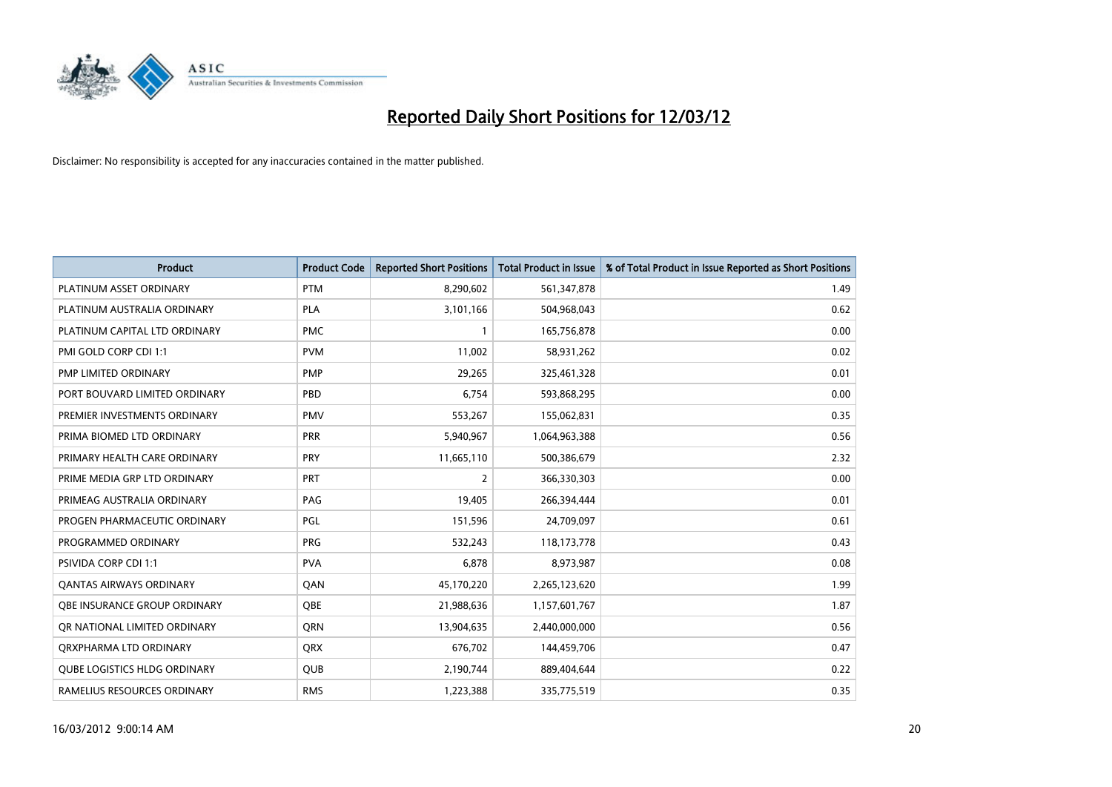

| <b>Product</b>                      | <b>Product Code</b> | <b>Reported Short Positions</b> | <b>Total Product in Issue</b> | % of Total Product in Issue Reported as Short Positions |
|-------------------------------------|---------------------|---------------------------------|-------------------------------|---------------------------------------------------------|
| PLATINUM ASSET ORDINARY             | <b>PTM</b>          | 8,290,602                       | 561,347,878                   | 1.49                                                    |
| PLATINUM AUSTRALIA ORDINARY         | <b>PLA</b>          | 3,101,166                       | 504,968,043                   | 0.62                                                    |
| PLATINUM CAPITAL LTD ORDINARY       | <b>PMC</b>          | $\mathbf{1}$                    | 165,756,878                   | 0.00                                                    |
| PMI GOLD CORP CDI 1:1               | <b>PVM</b>          | 11,002                          | 58,931,262                    | 0.02                                                    |
| <b>PMP LIMITED ORDINARY</b>         | <b>PMP</b>          | 29,265                          | 325,461,328                   | 0.01                                                    |
| PORT BOUVARD LIMITED ORDINARY       | PBD                 | 6,754                           | 593,868,295                   | 0.00                                                    |
| PREMIER INVESTMENTS ORDINARY        | <b>PMV</b>          | 553,267                         | 155,062,831                   | 0.35                                                    |
| PRIMA BIOMED LTD ORDINARY           | <b>PRR</b>          | 5,940,967                       | 1,064,963,388                 | 0.56                                                    |
| PRIMARY HEALTH CARE ORDINARY        | <b>PRY</b>          | 11,665,110                      | 500,386,679                   | 2.32                                                    |
| PRIME MEDIA GRP LTD ORDINARY        | <b>PRT</b>          | 2                               | 366,330,303                   | 0.00                                                    |
| PRIMEAG AUSTRALIA ORDINARY          | PAG                 | 19,405                          | 266,394,444                   | 0.01                                                    |
| PROGEN PHARMACEUTIC ORDINARY        | PGL                 | 151,596                         | 24,709,097                    | 0.61                                                    |
| PROGRAMMED ORDINARY                 | <b>PRG</b>          | 532,243                         | 118,173,778                   | 0.43                                                    |
| PSIVIDA CORP CDI 1:1                | <b>PVA</b>          | 6,878                           | 8,973,987                     | 0.08                                                    |
| <b>QANTAS AIRWAYS ORDINARY</b>      | QAN                 | 45,170,220                      | 2,265,123,620                 | 1.99                                                    |
| OBE INSURANCE GROUP ORDINARY        | <b>OBE</b>          | 21,988,636                      | 1,157,601,767                 | 1.87                                                    |
| OR NATIONAL LIMITED ORDINARY        | QRN                 | 13,904,635                      | 2,440,000,000                 | 0.56                                                    |
| ORXPHARMA LTD ORDINARY              | <b>QRX</b>          | 676,702                         | 144,459,706                   | 0.47                                                    |
| <b>QUBE LOGISTICS HLDG ORDINARY</b> | QUB                 | 2,190,744                       | 889,404,644                   | 0.22                                                    |
| RAMELIUS RESOURCES ORDINARY         | <b>RMS</b>          | 1,223,388                       | 335,775,519                   | 0.35                                                    |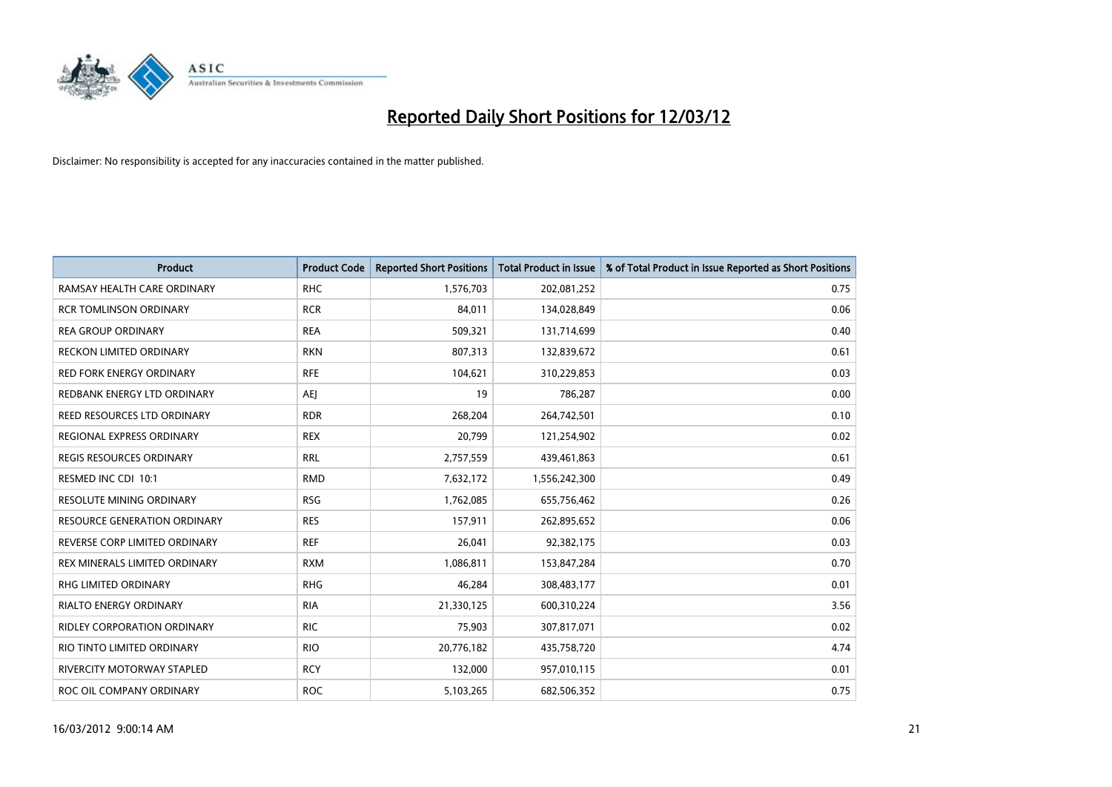

| <b>Product</b>                      | <b>Product Code</b> | <b>Reported Short Positions</b> | <b>Total Product in Issue</b> | % of Total Product in Issue Reported as Short Positions |
|-------------------------------------|---------------------|---------------------------------|-------------------------------|---------------------------------------------------------|
| RAMSAY HEALTH CARE ORDINARY         | <b>RHC</b>          | 1,576,703                       | 202,081,252                   | 0.75                                                    |
| <b>RCR TOMLINSON ORDINARY</b>       | <b>RCR</b>          | 84,011                          | 134,028,849                   | 0.06                                                    |
| <b>REA GROUP ORDINARY</b>           | <b>REA</b>          | 509,321                         | 131,714,699                   | 0.40                                                    |
| RECKON LIMITED ORDINARY             | <b>RKN</b>          | 807,313                         | 132,839,672                   | 0.61                                                    |
| <b>RED FORK ENERGY ORDINARY</b>     | <b>RFE</b>          | 104,621                         | 310,229,853                   | 0.03                                                    |
| REDBANK ENERGY LTD ORDINARY         | <b>AEI</b>          | 19                              | 786,287                       | 0.00                                                    |
| REED RESOURCES LTD ORDINARY         | <b>RDR</b>          | 268,204                         | 264,742,501                   | 0.10                                                    |
| REGIONAL EXPRESS ORDINARY           | <b>REX</b>          | 20,799                          | 121,254,902                   | 0.02                                                    |
| <b>REGIS RESOURCES ORDINARY</b>     | <b>RRL</b>          | 2,757,559                       | 439,461,863                   | 0.61                                                    |
| RESMED INC CDI 10:1                 | <b>RMD</b>          | 7,632,172                       | 1,556,242,300                 | 0.49                                                    |
| RESOLUTE MINING ORDINARY            | <b>RSG</b>          | 1,762,085                       | 655,756,462                   | 0.26                                                    |
| <b>RESOURCE GENERATION ORDINARY</b> | <b>RES</b>          | 157,911                         | 262,895,652                   | 0.06                                                    |
| REVERSE CORP LIMITED ORDINARY       | <b>REF</b>          | 26,041                          | 92,382,175                    | 0.03                                                    |
| REX MINERALS LIMITED ORDINARY       | <b>RXM</b>          | 1,086,811                       | 153,847,284                   | 0.70                                                    |
| <b>RHG LIMITED ORDINARY</b>         | <b>RHG</b>          | 46,284                          | 308,483,177                   | 0.01                                                    |
| RIALTO ENERGY ORDINARY              | <b>RIA</b>          | 21,330,125                      | 600,310,224                   | 3.56                                                    |
| RIDLEY CORPORATION ORDINARY         | <b>RIC</b>          | 75,903                          | 307,817,071                   | 0.02                                                    |
| RIO TINTO LIMITED ORDINARY          | <b>RIO</b>          | 20,776,182                      | 435,758,720                   | 4.74                                                    |
| RIVERCITY MOTORWAY STAPLED          | <b>RCY</b>          | 132,000                         | 957,010,115                   | 0.01                                                    |
| ROC OIL COMPANY ORDINARY            | <b>ROC</b>          | 5,103,265                       | 682,506,352                   | 0.75                                                    |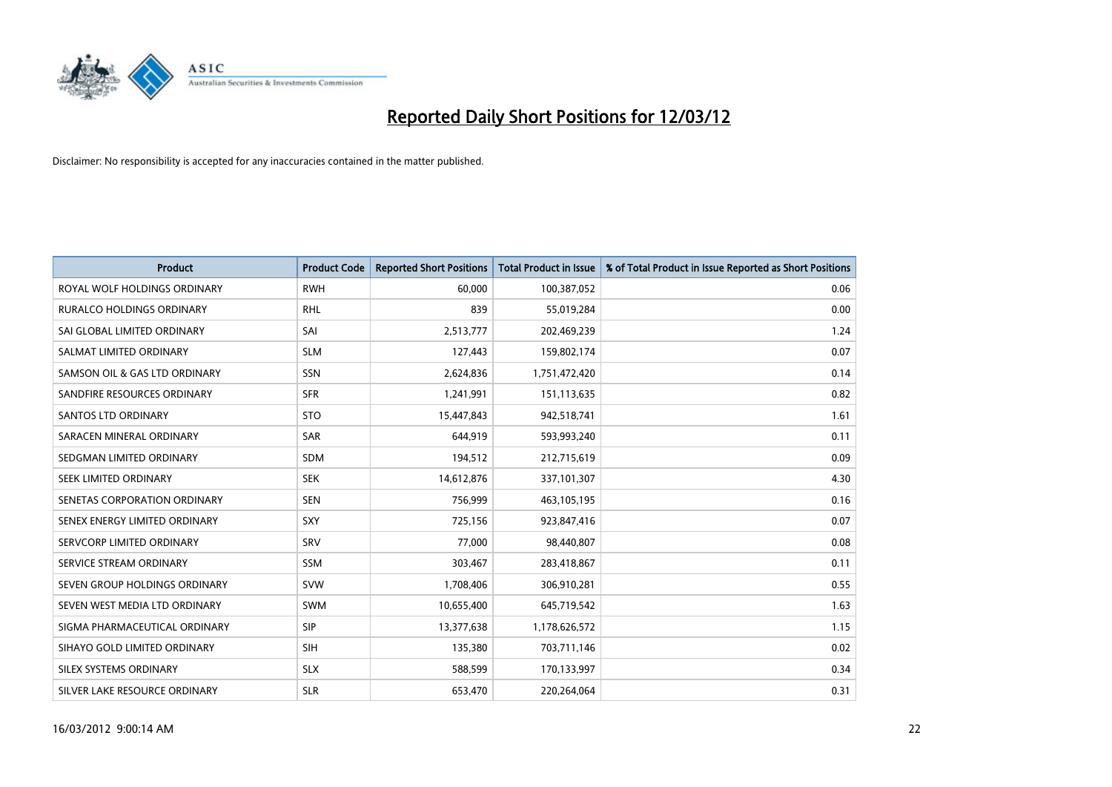

| <b>Product</b>                   | <b>Product Code</b> | <b>Reported Short Positions</b> | <b>Total Product in Issue</b> | % of Total Product in Issue Reported as Short Positions |
|----------------------------------|---------------------|---------------------------------|-------------------------------|---------------------------------------------------------|
| ROYAL WOLF HOLDINGS ORDINARY     | <b>RWH</b>          | 60,000                          | 100,387,052                   | 0.06                                                    |
| <b>RURALCO HOLDINGS ORDINARY</b> | <b>RHL</b>          | 839                             | 55,019,284                    | 0.00                                                    |
| SAI GLOBAL LIMITED ORDINARY      | SAI                 | 2,513,777                       | 202,469,239                   | 1.24                                                    |
| SALMAT LIMITED ORDINARY          | <b>SLM</b>          | 127,443                         | 159,802,174                   | 0.07                                                    |
| SAMSON OIL & GAS LTD ORDINARY    | SSN                 | 2,624,836                       | 1,751,472,420                 | 0.14                                                    |
| SANDFIRE RESOURCES ORDINARY      | <b>SFR</b>          | 1,241,991                       | 151,113,635                   | 0.82                                                    |
| <b>SANTOS LTD ORDINARY</b>       | <b>STO</b>          | 15,447,843                      | 942,518,741                   | 1.61                                                    |
| SARACEN MINERAL ORDINARY         | SAR                 | 644,919                         | 593,993,240                   | 0.11                                                    |
| SEDGMAN LIMITED ORDINARY         | <b>SDM</b>          | 194,512                         | 212,715,619                   | 0.09                                                    |
| SEEK LIMITED ORDINARY            | <b>SEK</b>          | 14,612,876                      | 337,101,307                   | 4.30                                                    |
| SENETAS CORPORATION ORDINARY     | <b>SEN</b>          | 756,999                         | 463,105,195                   | 0.16                                                    |
| SENEX ENERGY LIMITED ORDINARY    | SXY                 | 725,156                         | 923,847,416                   | 0.07                                                    |
| SERVCORP LIMITED ORDINARY        | SRV                 | 77,000                          | 98,440,807                    | 0.08                                                    |
| SERVICE STREAM ORDINARY          | SSM                 | 303,467                         | 283,418,867                   | 0.11                                                    |
| SEVEN GROUP HOLDINGS ORDINARY    | <b>SVW</b>          | 1,708,406                       | 306,910,281                   | 0.55                                                    |
| SEVEN WEST MEDIA LTD ORDINARY    | <b>SWM</b>          | 10,655,400                      | 645,719,542                   | 1.63                                                    |
| SIGMA PHARMACEUTICAL ORDINARY    | <b>SIP</b>          | 13,377,638                      | 1,178,626,572                 | 1.15                                                    |
| SIHAYO GOLD LIMITED ORDINARY     | SIH                 | 135,380                         | 703,711,146                   | 0.02                                                    |
| SILEX SYSTEMS ORDINARY           | <b>SLX</b>          | 588,599                         | 170,133,997                   | 0.34                                                    |
| SILVER LAKE RESOURCE ORDINARY    | <b>SLR</b>          | 653,470                         | 220,264,064                   | 0.31                                                    |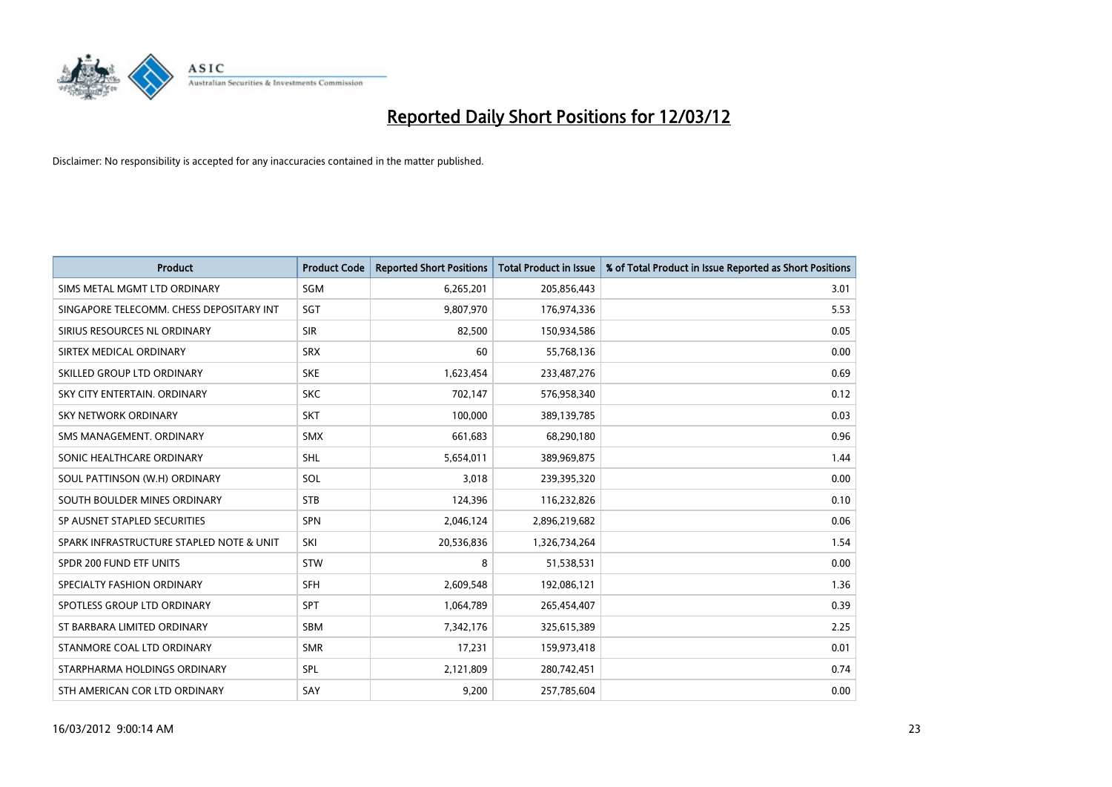

| <b>Product</b>                           | <b>Product Code</b> | <b>Reported Short Positions</b> | <b>Total Product in Issue</b> | % of Total Product in Issue Reported as Short Positions |
|------------------------------------------|---------------------|---------------------------------|-------------------------------|---------------------------------------------------------|
| SIMS METAL MGMT LTD ORDINARY             | SGM                 | 6,265,201                       | 205,856,443                   | 3.01                                                    |
| SINGAPORE TELECOMM. CHESS DEPOSITARY INT | SGT                 | 9,807,970                       | 176,974,336                   | 5.53                                                    |
| SIRIUS RESOURCES NL ORDINARY             | <b>SIR</b>          | 82,500                          | 150,934,586                   | 0.05                                                    |
| SIRTEX MEDICAL ORDINARY                  | <b>SRX</b>          | 60                              | 55,768,136                    | 0.00                                                    |
| SKILLED GROUP LTD ORDINARY               | <b>SKE</b>          | 1,623,454                       | 233,487,276                   | 0.69                                                    |
| SKY CITY ENTERTAIN, ORDINARY             | <b>SKC</b>          | 702,147                         | 576,958,340                   | 0.12                                                    |
| SKY NETWORK ORDINARY                     | <b>SKT</b>          | 100,000                         | 389,139,785                   | 0.03                                                    |
| SMS MANAGEMENT. ORDINARY                 | <b>SMX</b>          | 661,683                         | 68,290,180                    | 0.96                                                    |
| SONIC HEALTHCARE ORDINARY                | <b>SHL</b>          | 5,654,011                       | 389,969,875                   | 1.44                                                    |
| SOUL PATTINSON (W.H) ORDINARY            | <b>SOL</b>          | 3,018                           | 239,395,320                   | 0.00                                                    |
| SOUTH BOULDER MINES ORDINARY             | <b>STB</b>          | 124,396                         | 116,232,826                   | 0.10                                                    |
| SP AUSNET STAPLED SECURITIES             | <b>SPN</b>          | 2,046,124                       | 2,896,219,682                 | 0.06                                                    |
| SPARK INFRASTRUCTURE STAPLED NOTE & UNIT | SKI                 | 20,536,836                      | 1,326,734,264                 | 1.54                                                    |
| SPDR 200 FUND ETF UNITS                  | <b>STW</b>          | 8                               | 51,538,531                    | 0.00                                                    |
| SPECIALTY FASHION ORDINARY               | <b>SFH</b>          | 2,609,548                       | 192,086,121                   | 1.36                                                    |
| SPOTLESS GROUP LTD ORDINARY              | <b>SPT</b>          | 1,064,789                       | 265,454,407                   | 0.39                                                    |
| ST BARBARA LIMITED ORDINARY              | SBM                 | 7,342,176                       | 325,615,389                   | 2.25                                                    |
| STANMORE COAL LTD ORDINARY               | <b>SMR</b>          | 17,231                          | 159,973,418                   | 0.01                                                    |
| STARPHARMA HOLDINGS ORDINARY             | <b>SPL</b>          | 2,121,809                       | 280,742,451                   | 0.74                                                    |
| STH AMERICAN COR LTD ORDINARY            | SAY                 | 9,200                           | 257,785,604                   | 0.00                                                    |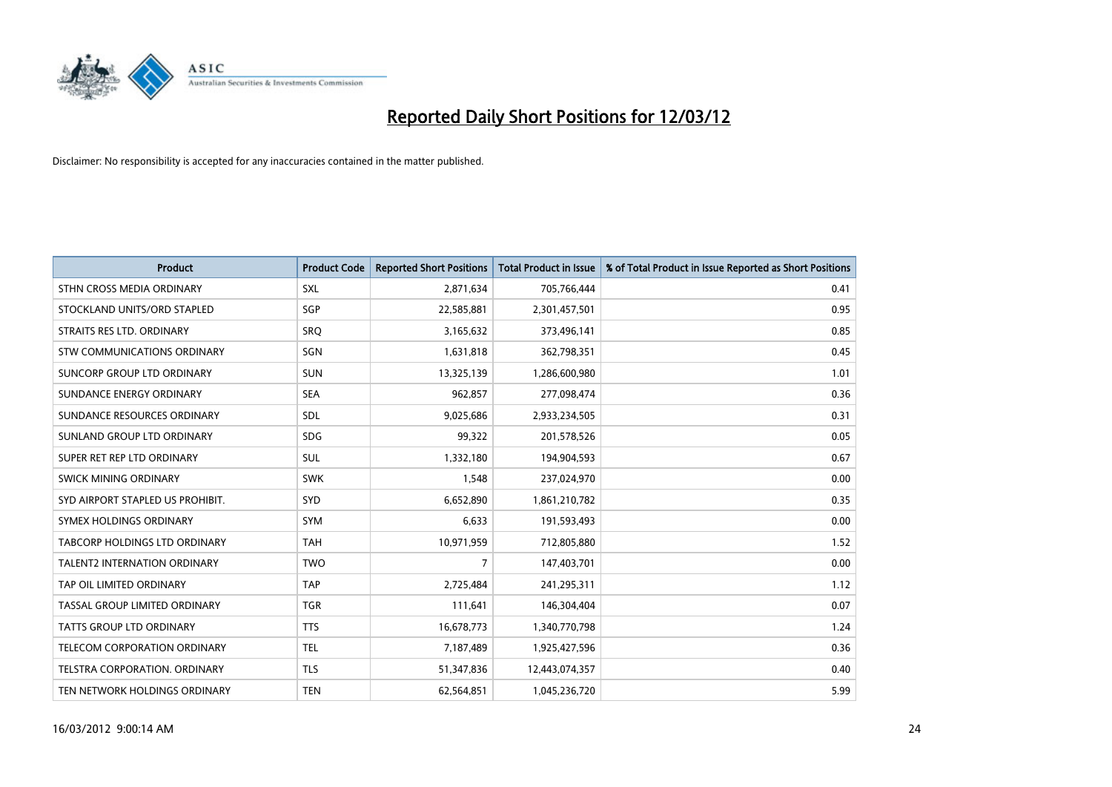

| <b>Product</b>                      | <b>Product Code</b> | <b>Reported Short Positions</b> | <b>Total Product in Issue</b> | % of Total Product in Issue Reported as Short Positions |
|-------------------------------------|---------------------|---------------------------------|-------------------------------|---------------------------------------------------------|
| STHN CROSS MEDIA ORDINARY           | <b>SXL</b>          | 2,871,634                       | 705,766,444                   | 0.41                                                    |
| STOCKLAND UNITS/ORD STAPLED         | SGP                 | 22,585,881                      | 2,301,457,501                 | 0.95                                                    |
| STRAITS RES LTD. ORDINARY           | <b>SRO</b>          | 3,165,632                       | 373,496,141                   | 0.85                                                    |
| STW COMMUNICATIONS ORDINARY         | SGN                 | 1,631,818                       | 362,798,351                   | 0.45                                                    |
| <b>SUNCORP GROUP LTD ORDINARY</b>   | <b>SUN</b>          | 13,325,139                      | 1,286,600,980                 | 1.01                                                    |
| SUNDANCE ENERGY ORDINARY            | <b>SEA</b>          | 962,857                         | 277,098,474                   | 0.36                                                    |
| SUNDANCE RESOURCES ORDINARY         | <b>SDL</b>          | 9,025,686                       | 2,933,234,505                 | 0.31                                                    |
| SUNLAND GROUP LTD ORDINARY          | <b>SDG</b>          | 99,322                          | 201,578,526                   | 0.05                                                    |
| SUPER RET REP LTD ORDINARY          | <b>SUL</b>          | 1,332,180                       | 194,904,593                   | 0.67                                                    |
| SWICK MINING ORDINARY               | <b>SWK</b>          | 1,548                           | 237,024,970                   | 0.00                                                    |
| SYD AIRPORT STAPLED US PROHIBIT.    | SYD                 | 6,652,890                       | 1,861,210,782                 | 0.35                                                    |
| SYMEX HOLDINGS ORDINARY             | <b>SYM</b>          | 6,633                           | 191,593,493                   | 0.00                                                    |
| TABCORP HOLDINGS LTD ORDINARY       | <b>TAH</b>          | 10,971,959                      | 712,805,880                   | 1.52                                                    |
| <b>TALENT2 INTERNATION ORDINARY</b> | <b>TWO</b>          | $\overline{7}$                  | 147,403,701                   | 0.00                                                    |
| TAP OIL LIMITED ORDINARY            | <b>TAP</b>          | 2,725,484                       | 241,295,311                   | 1.12                                                    |
| TASSAL GROUP LIMITED ORDINARY       | <b>TGR</b>          | 111,641                         | 146,304,404                   | 0.07                                                    |
| TATTS GROUP LTD ORDINARY            | <b>TTS</b>          | 16,678,773                      | 1,340,770,798                 | 1.24                                                    |
| TELECOM CORPORATION ORDINARY        | <b>TEL</b>          | 7,187,489                       | 1,925,427,596                 | 0.36                                                    |
| TELSTRA CORPORATION, ORDINARY       | <b>TLS</b>          | 51,347,836                      | 12,443,074,357                | 0.40                                                    |
| TEN NETWORK HOLDINGS ORDINARY       | <b>TEN</b>          | 62,564,851                      | 1,045,236,720                 | 5.99                                                    |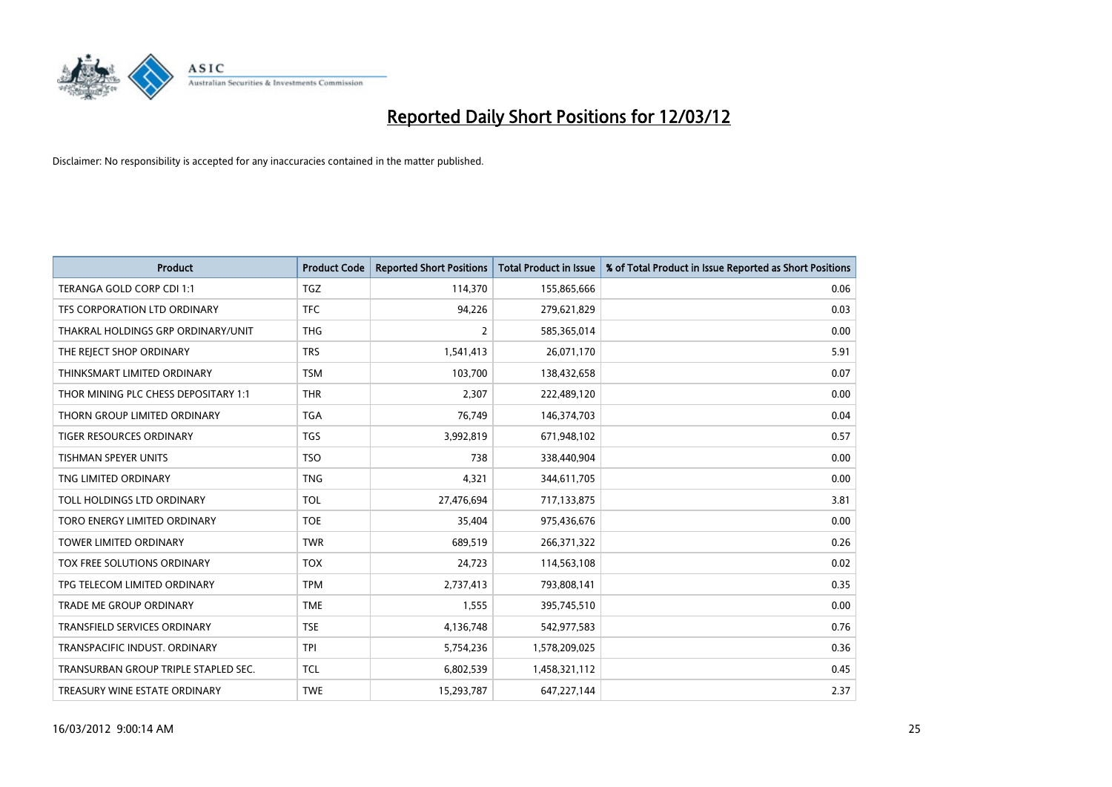

| <b>Product</b>                       | <b>Product Code</b> | <b>Reported Short Positions</b> | <b>Total Product in Issue</b> | % of Total Product in Issue Reported as Short Positions |
|--------------------------------------|---------------------|---------------------------------|-------------------------------|---------------------------------------------------------|
| TERANGA GOLD CORP CDI 1:1            | <b>TGZ</b>          | 114,370                         | 155,865,666                   | 0.06                                                    |
| TFS CORPORATION LTD ORDINARY         | <b>TFC</b>          | 94,226                          | 279,621,829                   | 0.03                                                    |
| THAKRAL HOLDINGS GRP ORDINARY/UNIT   | <b>THG</b>          | $\overline{2}$                  | 585,365,014                   | 0.00                                                    |
| THE REJECT SHOP ORDINARY             | <b>TRS</b>          | 1,541,413                       | 26,071,170                    | 5.91                                                    |
| THINKSMART LIMITED ORDINARY          | <b>TSM</b>          | 103,700                         | 138,432,658                   | 0.07                                                    |
| THOR MINING PLC CHESS DEPOSITARY 1:1 | <b>THR</b>          | 2,307                           | 222,489,120                   | 0.00                                                    |
| THORN GROUP LIMITED ORDINARY         | TGA                 | 76,749                          | 146,374,703                   | 0.04                                                    |
| TIGER RESOURCES ORDINARY             | <b>TGS</b>          | 3,992,819                       | 671,948,102                   | 0.57                                                    |
| <b>TISHMAN SPEYER UNITS</b>          | <b>TSO</b>          | 738                             | 338,440,904                   | 0.00                                                    |
| TNG LIMITED ORDINARY                 | <b>TNG</b>          | 4,321                           | 344,611,705                   | 0.00                                                    |
| TOLL HOLDINGS LTD ORDINARY           | <b>TOL</b>          | 27,476,694                      | 717,133,875                   | 3.81                                                    |
| TORO ENERGY LIMITED ORDINARY         | <b>TOE</b>          | 35,404                          | 975,436,676                   | 0.00                                                    |
| TOWER LIMITED ORDINARY               | <b>TWR</b>          | 689,519                         | 266,371,322                   | 0.26                                                    |
| TOX FREE SOLUTIONS ORDINARY          | <b>TOX</b>          | 24,723                          | 114,563,108                   | 0.02                                                    |
| TPG TELECOM LIMITED ORDINARY         | <b>TPM</b>          | 2,737,413                       | 793,808,141                   | 0.35                                                    |
| TRADE ME GROUP ORDINARY              | <b>TME</b>          | 1,555                           | 395,745,510                   | 0.00                                                    |
| TRANSFIELD SERVICES ORDINARY         | <b>TSE</b>          | 4,136,748                       | 542,977,583                   | 0.76                                                    |
| TRANSPACIFIC INDUST. ORDINARY        | <b>TPI</b>          | 5,754,236                       | 1,578,209,025                 | 0.36                                                    |
| TRANSURBAN GROUP TRIPLE STAPLED SEC. | <b>TCL</b>          | 6,802,539                       | 1,458,321,112                 | 0.45                                                    |
| TREASURY WINE ESTATE ORDINARY        | <b>TWE</b>          | 15,293,787                      | 647,227,144                   | 2.37                                                    |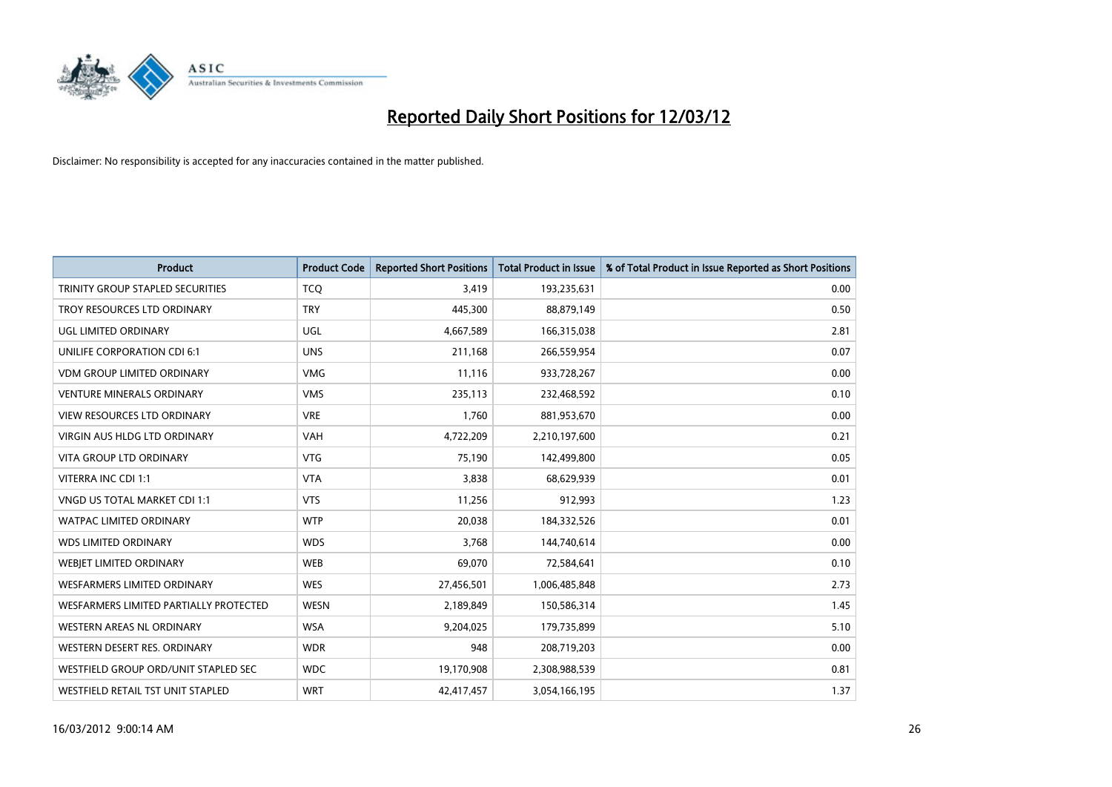

| <b>Product</b>                         | <b>Product Code</b> | <b>Reported Short Positions</b> | <b>Total Product in Issue</b> | % of Total Product in Issue Reported as Short Positions |
|----------------------------------------|---------------------|---------------------------------|-------------------------------|---------------------------------------------------------|
| TRINITY GROUP STAPLED SECURITIES       | <b>TCQ</b>          | 3,419                           | 193,235,631                   | 0.00                                                    |
| TROY RESOURCES LTD ORDINARY            | <b>TRY</b>          | 445,300                         | 88,879,149                    | 0.50                                                    |
| UGL LIMITED ORDINARY                   | UGL                 | 4,667,589                       | 166,315,038                   | 2.81                                                    |
| UNILIFE CORPORATION CDI 6:1            | <b>UNS</b>          | 211,168                         | 266,559,954                   | 0.07                                                    |
| <b>VDM GROUP LIMITED ORDINARY</b>      | <b>VMG</b>          | 11,116                          | 933,728,267                   | 0.00                                                    |
| <b>VENTURE MINERALS ORDINARY</b>       | <b>VMS</b>          | 235,113                         | 232,468,592                   | 0.10                                                    |
| <b>VIEW RESOURCES LTD ORDINARY</b>     | <b>VRE</b>          | 1,760                           | 881,953,670                   | 0.00                                                    |
| <b>VIRGIN AUS HLDG LTD ORDINARY</b>    | <b>VAH</b>          | 4,722,209                       | 2,210,197,600                 | 0.21                                                    |
| <b>VITA GROUP LTD ORDINARY</b>         | <b>VTG</b>          | 75,190                          | 142,499,800                   | 0.05                                                    |
| VITERRA INC CDI 1:1                    | <b>VTA</b>          | 3,838                           | 68,629,939                    | 0.01                                                    |
| VNGD US TOTAL MARKET CDI 1:1           | <b>VTS</b>          | 11,256                          | 912,993                       | 1.23                                                    |
| <b>WATPAC LIMITED ORDINARY</b>         | <b>WTP</b>          | 20,038                          | 184,332,526                   | 0.01                                                    |
| <b>WDS LIMITED ORDINARY</b>            | <b>WDS</b>          | 3,768                           | 144,740,614                   | 0.00                                                    |
| WEBIET LIMITED ORDINARY                | <b>WEB</b>          | 69,070                          | 72,584,641                    | 0.10                                                    |
| WESFARMERS LIMITED ORDINARY            | <b>WES</b>          | 27,456,501                      | 1,006,485,848                 | 2.73                                                    |
| WESFARMERS LIMITED PARTIALLY PROTECTED | <b>WESN</b>         | 2,189,849                       | 150,586,314                   | 1.45                                                    |
| WESTERN AREAS NL ORDINARY              | <b>WSA</b>          | 9,204,025                       | 179,735,899                   | 5.10                                                    |
| WESTERN DESERT RES. ORDINARY           | <b>WDR</b>          | 948                             | 208,719,203                   | 0.00                                                    |
| WESTFIELD GROUP ORD/UNIT STAPLED SEC   | <b>WDC</b>          | 19,170,908                      | 2,308,988,539                 | 0.81                                                    |
| WESTFIELD RETAIL TST UNIT STAPLED      | <b>WRT</b>          | 42,417,457                      | 3,054,166,195                 | 1.37                                                    |